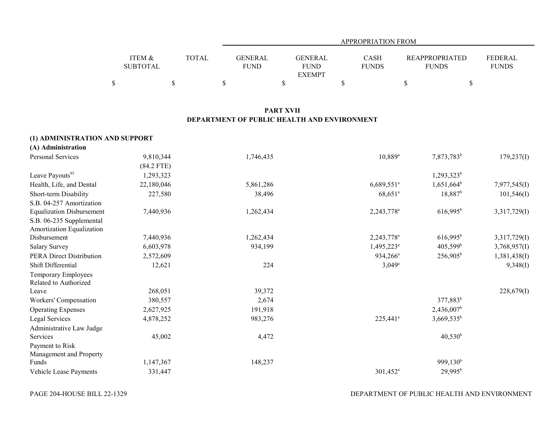|                           |       |                               | <b>APPROPRIATION FROM</b>               |                      |                                       |                         |  |  |  |
|---------------------------|-------|-------------------------------|-----------------------------------------|----------------------|---------------------------------------|-------------------------|--|--|--|
| ITEM &<br><b>SUBTOTAL</b> | TOTAL | <b>GENERAL</b><br><b>FUND</b> | GENERAL<br><b>FUND</b><br><b>EXEMPT</b> | CASH<br><b>FUNDS</b> | <b>REAPPROPRIATED</b><br><b>FUNDS</b> | FEDERAL<br><b>FUNDS</b> |  |  |  |
|                           |       |                               |                                         |                      |                                       |                         |  |  |  |

# **PART XVII DEPARTMENT OF PUBLIC HEALTH AND ENVIRONMENT**

| (1) ADMINISTRATION AND SUPPORT   |              |           |                          |                        |              |
|----------------------------------|--------------|-----------|--------------------------|------------------------|--------------|
| (A) Administration               |              |           |                          |                        |              |
| Personal Services                | 9,810,344    | 1,746,435 | $10,889^{\rm a}$         | 7,873,783 <sup>b</sup> | 179,237(I)   |
|                                  | $(84.2$ FTE) |           |                          |                        |              |
| Leave Payouts <sup>95</sup>      | 1,293,323    |           |                          | 1,293,323 <sup>b</sup> |              |
| Health, Life, and Dental         | 22,180,046   | 5,861,286 | $6,689,551$ <sup>a</sup> | $1,651,664^b$          | 7,977,545(I) |
| Short-term Disability            | 227,580      | 38,496    | $68,651$ <sup>a</sup>    | $18,887^b$             | 101,546(I)   |
| S.B. 04-257 Amortization         |              |           |                          |                        |              |
| <b>Equalization Disbursement</b> | 7,440,936    | 1,262,434 | 2,243,778 <sup>a</sup>   | $616,995^{\rm b}$      | 3,317,729(I) |
| S.B. 06-235 Supplemental         |              |           |                          |                        |              |
| Amortization Equalization        |              |           |                          |                        |              |
| Disbursement                     | 7,440,936    | 1,262,434 | $2,243,778$ <sup>a</sup> | $616,995^b$            | 3,317,729(I) |
| <b>Salary Survey</b>             | 6,603,978    | 934,199   | 1,495,223 <sup>a</sup>   | $405,599$ <sup>b</sup> | 3,768,957(I) |
| <b>PERA Direct Distribution</b>  | 2,572,609    |           | 934,266 <sup>a</sup>     | $256,905^b$            | 1,381,438(I) |
| Shift Differential               | 12,621       | 224       | $3,049^{\rm a}$          |                        | 9,348(I)     |
| Temporary Employees              |              |           |                          |                        |              |
| Related to Authorized            |              |           |                          |                        |              |
| Leave                            | 268,051      | 39,372    |                          |                        | 228,679(I)   |
| Workers' Compensation            | 380,557      | 2,674     |                          | 377,883 <sup>b</sup>   |              |
| <b>Operating Expenses</b>        | 2,627,925    | 191,918   |                          | 2,436,007 <sup>b</sup> |              |
| Legal Services                   | 4,878,252    | 983,276   | 225,441 <sup>a</sup>     | $3,669,535^b$          |              |
| Administrative Law Judge         |              |           |                          |                        |              |
| Services                         | 45,002       | 4,472     |                          | $40,530^{\rm b}$       |              |
| Payment to Risk                  |              |           |                          |                        |              |
| Management and Property          |              |           |                          |                        |              |
| Funds                            | 1,147,367    | 148,237   |                          | 999,130 <sup>b</sup>   |              |
| Vehicle Lease Payments           | 331,447      |           | $301,452^a$              | $29,995^b$             |              |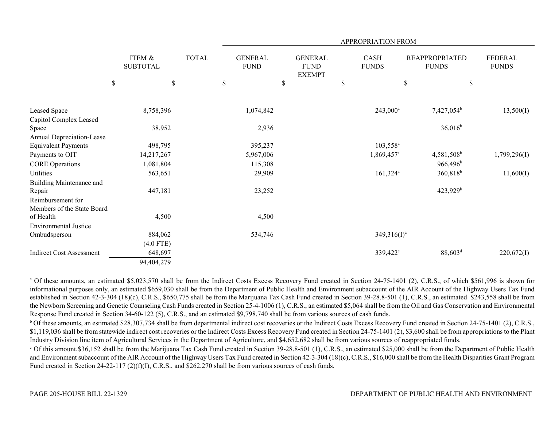|                                 |             |                           |    |  |              | APPROPRIATION FROM |                               |  |                                                |                        |                      |                        |                                       |              |                                |
|---------------------------------|-------------|---------------------------|----|--|--------------|--------------------|-------------------------------|--|------------------------------------------------|------------------------|----------------------|------------------------|---------------------------------------|--------------|--------------------------------|
|                                 |             | ITEM &<br><b>SUBTOTAL</b> |    |  | <b>TOTAL</b> |                    | <b>GENERAL</b><br><b>FUND</b> |  | <b>GENERAL</b><br><b>FUND</b><br><b>EXEMPT</b> |                        | CASH<br><b>FUNDS</b> |                        | <b>REAPPROPRIATED</b><br><b>FUNDS</b> |              | <b>FEDERAL</b><br><b>FUNDS</b> |
|                                 | $\mathbb S$ |                           | \$ |  | \$           |                    | \$                            |  | $\mathbb S$                                    |                        | \$                   |                        | $\$$                                  |              |                                |
|                                 |             |                           |    |  |              |                    |                               |  |                                                |                        |                      |                        |                                       |              |                                |
| Leased Space                    |             | 8,758,396                 |    |  |              | 1,074,842          |                               |  |                                                | $243,000^a$            |                      | 7,427,054 <sup>b</sup> |                                       | 13,500(I)    |                                |
| Capitol Complex Leased          |             |                           |    |  |              |                    |                               |  |                                                |                        |                      |                        |                                       |              |                                |
| Space                           |             | 38,952                    |    |  |              | 2,936              |                               |  |                                                |                        |                      | $36,016^b$             |                                       |              |                                |
| Annual Depreciation-Lease       |             |                           |    |  |              |                    |                               |  |                                                |                        |                      |                        |                                       |              |                                |
| <b>Equivalent Payments</b>      |             | 498,795                   |    |  |              | 395,237            |                               |  |                                                | $103,558^{\circ}$      |                      |                        |                                       |              |                                |
| Payments to OIT                 |             | 14,217,267                |    |  |              | 5,967,006          |                               |  |                                                | 1,869,457 <sup>a</sup> |                      | 4,581,508 <sup>b</sup> |                                       | 1,799,296(I) |                                |
| <b>CORE Operations</b>          |             | 1,081,804                 |    |  |              | 115,308            |                               |  |                                                |                        |                      | $966,496^b$            |                                       |              |                                |
| <b>Utilities</b>                |             | 563,651                   |    |  |              | 29,909             |                               |  |                                                | $161,324$ <sup>a</sup> |                      | 360,818 <sup>b</sup>   |                                       | 11,600(I)    |                                |
| Building Maintenance and        |             |                           |    |  |              |                    |                               |  |                                                |                        |                      |                        |                                       |              |                                |
| Repair                          |             | 447,181                   |    |  |              | 23,252             |                               |  |                                                |                        |                      | $423,929$ <sup>b</sup> |                                       |              |                                |
| Reimbursement for               |             |                           |    |  |              |                    |                               |  |                                                |                        |                      |                        |                                       |              |                                |
| Members of the State Board      |             |                           |    |  |              |                    |                               |  |                                                |                        |                      |                        |                                       |              |                                |
| of Health                       |             | 4,500                     |    |  |              | 4,500              |                               |  |                                                |                        |                      |                        |                                       |              |                                |
| <b>Environmental Justice</b>    |             |                           |    |  |              |                    |                               |  |                                                |                        |                      |                        |                                       |              |                                |
| Ombudsperson                    |             | 884,062                   |    |  |              | 534,746            |                               |  |                                                | $349,316(I)^a$         |                      |                        |                                       |              |                                |
|                                 |             | $(4.0$ FTE)               |    |  |              |                    |                               |  |                                                |                        |                      |                        |                                       |              |                                |
| <b>Indirect Cost Assessment</b> |             | 648,697                   |    |  |              |                    |                               |  |                                                | 339,422°               |                      | $88,603^d$             |                                       | 220,672(I)   |                                |
|                                 |             | 94,404,279                |    |  |              |                    |                               |  |                                                |                        |                      |                        |                                       |              |                                |

<sup>a</sup> Of these amounts, an estimated \$5,023,570 shall be from the Indirect Costs Excess Recovery Fund created in Section 24-75-1401 (2), C.R.S., of which \$561,996 is shown for informational purposes only, an estimated \$659,030 shall be from the Department of Public Health and Environment subaccount of the AIR Account of the Highway Users Tax Fund established in Section 42-3-304 (18)(c), C.R.S., \$650,775 shall be from the Marijuana Tax Cash Fund created in Section 39-28.8-501 (1), C.R.S., an estimated \$243,558 shall be from the Newborn Screening and Genetic Counseling Cash Funds created in Section 25-4-1006 (1), C.R.S., an estimated \$5,064 shall be from the Oil and Gas Conservation and Environmental Response Fund created in Section 34-60-122 (5), C.R.S., and an estimated \$9,798,740 shall be from various sources of cash funds.

<sup>b</sup> Of these amounts, an estimated \$28,307,734 shall be from departmental indirect cost recoveries or the Indirect Costs Excess Recovery Fund created in Section 24-75-1401 (2), C.R.S., \$1,119,036 shall be from statewide indirect cost recoveries or the Indirect Costs Excess Recovery Fund created in Section 24-75-1401 (2), \$3,600 shall be from appropriations to the Plant Industry Division line item of Agricultural Services in the Department of Agriculture, and \$4,652,682 shall be from various sources of reappropriated funds.

 $\degree$  Of this amount, \$36,152 shall be from the Marijuana Tax Cash Fund created in Section 39-28.8-501 (1), C.R.S., an estimated \$25,000 shall be from the Department of Public Health and Environment subaccount of the AIR Account of the Highway Users Tax Fund created in Section 42-3-304 (18)(c), C.R.S., \$16,000 shall be from the Health Disparities Grant Program Fund created in Section 24-22-117 (2)(f)(I), C.R.S., and \$262,270 shall be from various sources of cash funds.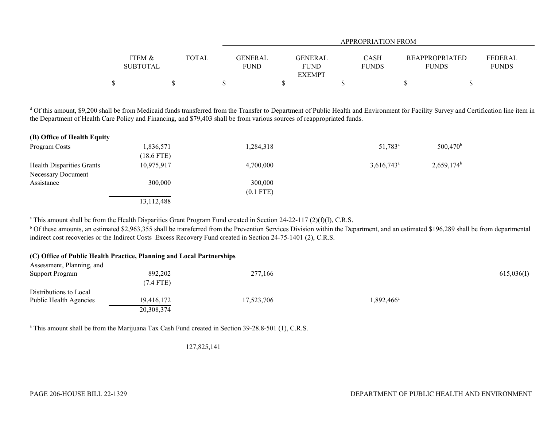|                   |              |         |               | <b>APPROPRIATION FROM</b> |                       |              |
|-------------------|--------------|---------|---------------|---------------------------|-----------------------|--------------|
|                   |              |         |               |                           |                       |              |
| <b>ITEM &amp;</b> | <b>TOTAL</b> | GENERAL | GENERAL       | <b>CASH</b>               | <b>REAPPROPRIATED</b> | FEDERAL      |
| <b>SUBTOTAL</b>   |              | FUND    | <b>FUND</b>   | <b>FUNDS</b>              | <b>FUNDS</b>          | <b>FUNDS</b> |
|                   |              |         | <b>EXEMPT</b> |                           |                       |              |
|                   |              |         |               |                           |                       |              |

<sup>d</sup> Of this amount, \$9,200 shall be from Medicaid funds transferred from the Transfer to Department of Public Health and Environment for Facility Survey and Certification line item in the Department of Health Care Policy and Financing, and \$79,403 shall be from various sources of reappropriated funds.

| (B) Office of Health Equity |              |             |                          |                          |
|-----------------------------|--------------|-------------|--------------------------|--------------------------|
| Program Costs               | 1,836,571    | 1,284,318   | $51,783^{\circ}$         | 500,470 <sup>b</sup>     |
|                             | (18.6 FTE)   |             |                          |                          |
| Health Disparities Grants   | 10,975,917   | 4,700,000   | $3,616,743$ <sup>a</sup> | $2,659,174$ <sup>b</sup> |
| Necessary Document          |              |             |                          |                          |
| Assistance                  | 300,000      | 300,000     |                          |                          |
|                             |              | $(0.1$ FTE) |                          |                          |
|                             | 13, 112, 488 |             |                          |                          |

<sup>a</sup> This amount shall be from the Health Disparities Grant Program Fund created in Section 24-22-117 (2)(f)(I), C.R.S.

<sup>b</sup> Of these amounts, an estimated \$2,963,355 shall be transferred from the Prevention Services Division within the Department, and an estimated \$196,289 shall be from departmental indirect cost recoveries or the Indirect Costs Excess Recovery Fund created in Section 24-75-1401 (2), C.R.S.

|                           | (C) Office of Public Health Practice, Planning and Local Partnerships |            |                     |            |
|---------------------------|-----------------------------------------------------------------------|------------|---------------------|------------|
| Assessment, Planning, and |                                                                       |            |                     |            |
| <b>Support Program</b>    | 892,202                                                               | 277,166    |                     | 615,036(I) |
|                           | $(7.4$ FTE)                                                           |            |                     |            |
| Distributions to Local    |                                                                       |            |                     |            |
| Public Health Agencies    | 19,416,172                                                            | 17,523,706 | $1,892,466^{\circ}$ |            |
|                           | 20,308,374                                                            |            |                     |            |

<sup>a</sup> This amount shall be from the Marijuana Tax Cash Fund created in Section 39-28.8-501 (1), C.R.S.

127,825,141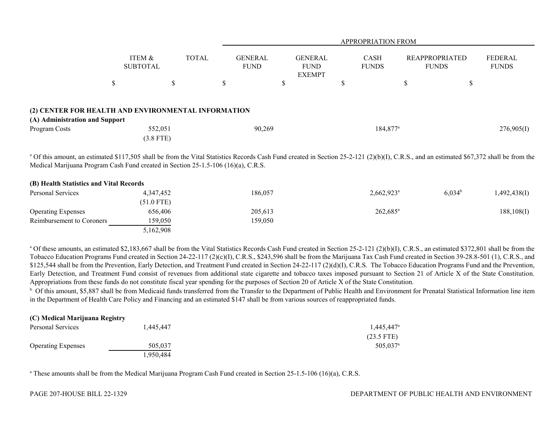|                                |                                                     |               | <b>APPROPRIATION FROM</b>     |                                                |                             |                                       |                                |  |  |
|--------------------------------|-----------------------------------------------------|---------------|-------------------------------|------------------------------------------------|-----------------------------|---------------------------------------|--------------------------------|--|--|
|                                | ITEM &<br><b>SUBTOTAL</b>                           | <b>TOTAL</b>  | <b>GENERAL</b><br><b>FUND</b> | <b>GENERAL</b><br><b>FUND</b><br><b>EXEMPT</b> | <b>CASH</b><br><b>FUNDS</b> | <b>REAPPROPRIATED</b><br><b>FUNDS</b> | <b>FEDERAL</b><br><b>FUNDS</b> |  |  |
|                                | S                                                   | <sup>\$</sup> | \$                            | ₼<br>D                                         | $\triangle$<br>D            | $\triangle$<br>٠D                     | \$                             |  |  |
|                                | (2) CENTER FOR HEALTH AND ENVIRONMENTAL INFORMATION |               |                               |                                                |                             |                                       |                                |  |  |
| (A) Administration and Support |                                                     |               |                               |                                                |                             |                                       |                                |  |  |
| Program Costs                  | 552,051<br>$(3.8$ FTE)                              |               | 90,269                        |                                                | $184,877$ <sup>a</sup>      |                                       | 276,905(I)                     |  |  |

<sup>a</sup> Of this amount, an estimated \$117,505 shall be from the Vital Statistics Records Cash Fund created in Section 25-2-121 (2)(b)(I), C.R.S., and an estimated \$67,372 shall be from the Medical Marijuana Program Cash Fund created in Section 25-1.5-106 (16)(a), C.R.S.

| (B) Health Statistics and Vital Records |              |         |                     |                 |              |
|-----------------------------------------|--------------|---------|---------------------|-----------------|--------------|
| Personal Services                       | 4,347,452    | 186,057 | $2,662,923^{\circ}$ | $6,034^{\rm b}$ | 1,492,438(1) |
|                                         | $(51.0$ FTE) |         |                     |                 |              |
| <b>Operating Expenses</b>               | 656,406      | 205,613 | $262,685^{\circ}$   |                 | 188, 108(I)  |
| Reimbursement to Coroners               | 159,050      | 159,050 |                     |                 |              |
|                                         | 5,162,908    |         |                     |                 |              |

<sup>a</sup> Of these amounts, an estimated \$2,183,667 shall be from the Vital Statistics Records Cash Fund created in Section 25-2-121 (2)(b)(I), C.R.S., an estimated \$372,801 shall be from the Tobacco Education Programs Fund created in Section 24-22-117 (2)(c)(I), C.R.S., \$243,596 shall be from the Marijuana Tax Cash Fund created in Section 39-28.8-501 (1), C.R.S., and \$125,544 shall be from the Prevention, Early Detection, and Treatment Fund created in Section 24-22-117 (2)(d)(I), C.R.S. The Tobacco Education Programs Fund and the Prevention, Early Detection, and Treatment Fund consist of revenues from additional state cigarette and tobacco taxes imposed pursuant to Section 21 of Article X of the State Constitution. Appropriations from these funds do not constitute fiscal year spending for the purposes of Section 20 of Article X of the State Constitution.

<sup>b</sup> Of this amount, \$5,887 shall be from Medicaid funds transferred from the Transfer to the Department of Public Health and Environment for Prenatal Statistical Information line item in the Department of Health Care Policy and Financing and an estimated \$147 shall be from various sources of reappropriated funds.

| <b>TO MEDICAL MATHUALA NEGISTI</b> Y |           |                        |
|--------------------------------------|-----------|------------------------|
| Personal Services                    | 1.445.447 | $1,445,447^{\circ}$    |
|                                      |           | $(23.5$ FTE)           |
| <b>Operating Expenses</b>            | 505,037   | $505.037$ <sup>a</sup> |
|                                      | 1.950.484 |                        |

<sup>a</sup> These amounts shall be from the Medical Marijuana Program Cash Fund created in Section 25-1.5-106 (16)(a), C.R.S.

**(C) Medical Marijuana Registry**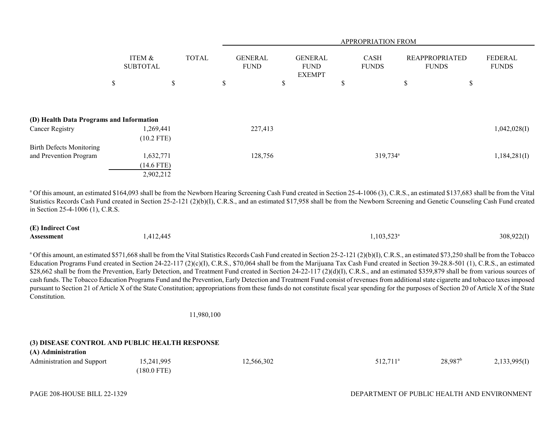|                                          |                           |              |              | APPROPRIATION FROM            |    |                                                |    |                             |    |                                       |                                |
|------------------------------------------|---------------------------|--------------|--------------|-------------------------------|----|------------------------------------------------|----|-----------------------------|----|---------------------------------------|--------------------------------|
|                                          | ITEM &<br><b>SUBTOTAL</b> |              | <b>TOTAL</b> | <b>GENERAL</b><br><b>FUND</b> |    | <b>GENERAL</b><br><b>FUND</b><br><b>EXEMPT</b> |    | <b>CASH</b><br><b>FUNDS</b> |    | <b>REAPPROPRIATED</b><br><b>FUNDS</b> | <b>FEDERAL</b><br><b>FUNDS</b> |
|                                          | \$                        | \$           |              | \$                            | \$ |                                                | \$ |                             | \$ | \$                                    |                                |
|                                          |                           |              |              |                               |    |                                                |    |                             |    |                                       |                                |
| (D) Health Data Programs and Information |                           |              |              |                               |    |                                                |    |                             |    |                                       |                                |
| Cancer Registry                          |                           | 1,269,441    |              | 227,413                       |    |                                                |    |                             |    |                                       | 1,042,028(I)                   |
|                                          |                           | $(10.2$ FTE) |              |                               |    |                                                |    |                             |    |                                       |                                |
| <b>Birth Defects Monitoring</b>          |                           |              |              |                               |    |                                                |    |                             |    |                                       |                                |
| and Prevention Program                   |                           | 1,632,771    |              | 128,756                       |    |                                                |    | 319,734 <sup>a</sup>        |    |                                       | 1,184,281(I)                   |
|                                          |                           | $(14.6$ FTE) |              |                               |    |                                                |    |                             |    |                                       |                                |
|                                          |                           | 2,902,212    |              |                               |    |                                                |    |                             |    |                                       |                                |

<sup>a</sup> Of this amount, an estimated \$164,093 shall be from the Newborn Hearing Screening Cash Fund created in Section 25-4-1006 (3), C.R.S., an estimated \$137,683 shall be from the Vital Statistics Records Cash Fund created in Section 25-2-121 (2)(b)(I), C.R.S., and an estimated \$17,958 shall be from the Newborn Screening and Genetic Counseling Cash Fund created in Section 25-4-1006 (1), C.R.S.

| (E) Indirect Cost |           |                     |            |
|-------------------|-----------|---------------------|------------|
| <b>Assessment</b> | 1,412,445 | $1,103,523^{\circ}$ | 308,922(I) |

<sup>a</sup> Of this amount, an estimated \$571,668 shall be from the Vital Statistics Records Cash Fund created in Section 25-2-121 (2)(b)(I), C.R.S., an estimated \$73,250 shall be from the Tobacco Education Programs Fund created in Section 24-22-117 (2)(c)(I), C.R.S., \$70,064 shall be from the Marijuana Tax Cash Fund created in Section 39-28.8-501 (1), C.R.S., an estimated \$28,662 shall be from the Prevention, Early Detection, and Treatment Fund created in Section 24-22-117 (2)(d)(I), C.R.S., and an estimated \$359,879 shall be from various sources of cash funds. The Tobacco Education Programs Fund and the Prevention, Early Detection and Treatment Fund consist of revenues from additional state cigarette and tobacco taxes imposed pursuant to Section 21 of Article X of the State Constitution; appropriations from these funds do not constitute fiscal year spending for the purposes of Section 20 of Article X of the State Constitution.

11,980,100

# **(3) DISEASE CONTROL AND PUBLIC HEALTH RESPONSE**

| (A) Administration         |               |            |                        |                       |              |
|----------------------------|---------------|------------|------------------------|-----------------------|--------------|
| Administration and Support | 15,241,995    | 12,566,302 | $512,711$ <sup>a</sup> | $28,987$ <sup>b</sup> | 2,133,995(I) |
|                            | $(180.0$ FTE) |            |                        |                       |              |

**(A) Administration**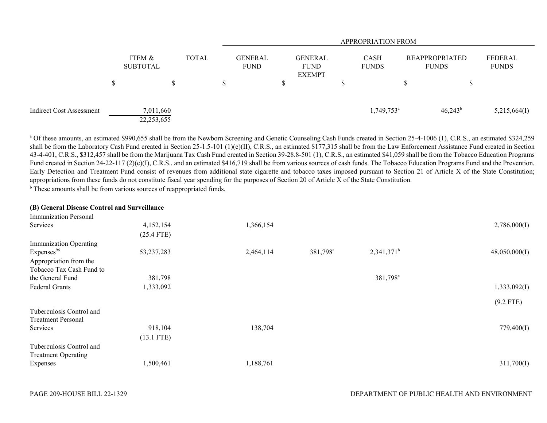|                          |                           |              | <b>APPROPRIATION FROM</b> |  |                                                |  |                             |  |                                       |                         |
|--------------------------|---------------------------|--------------|---------------------------|--|------------------------------------------------|--|-----------------------------|--|---------------------------------------|-------------------------|
|                          | ITEM &<br><b>SUBTOTAL</b> | <b>TOTAL</b> | GENERAL<br><b>FUND</b>    |  | <b>GENERAL</b><br><b>FUND</b><br><b>EXEMPT</b> |  | <b>CASH</b><br><b>FUNDS</b> |  | <b>REAPPROPRIATED</b><br><b>FUNDS</b> | FEDERAL<br><b>FUNDS</b> |
|                          |                           |              |                           |  |                                                |  |                             |  |                                       |                         |
| Indirect Cost Assessment | 7,011,660<br>22,253,655   |              |                           |  |                                                |  | $1,749,753$ <sup>a</sup>    |  | $46,243^b$                            | 5,215,664(I)            |

<sup>a</sup> Of these amounts, an estimated \$990,655 shall be from the Newborn Screening and Genetic Counseling Cash Funds created in Section 25-4-1006 (1), C.R.S., an estimated \$324,259 shall be from the Laboratory Cash Fund created in Section 25-1.5-101 (1)(e)(II), C.R.S., an estimated \$177,315 shall be from the Law Enforcement Assistance Fund created in Section 43-4-401, C.R.S., \$312,457 shall be from the Marijuana Tax Cash Fund created in Section 39-28.8-501 (1), C.R.S., an estimated \$41,059 shall be from the Tobacco Education Programs Fund created in Section 24-22-117 (2)(c)(I), C.R.S., and an estimated \$416,719 shall be from various sources of cash funds. The Tobacco Education Programs Fund and the Prevention, Early Detection and Treatment Fund consist of revenues from additional state cigarette and tobacco taxes imposed pursuant to Section 21 of Article X of the State Constitution; appropriations from these funds do not constitute fiscal year spending for the purposes of Section 20 of Article X of the State Constitution.

<sup>b</sup> These amounts shall be from various sources of reappropriated funds.

#### **(B) General Disease Control and Surveillance**

| Immunization Personal         |              |           |                      |                      |               |
|-------------------------------|--------------|-----------|----------------------|----------------------|---------------|
| Services                      | 4,152,154    | 1,366,154 |                      |                      | 2,786,000(I)  |
|                               | $(25.4$ FTE) |           |                      |                      |               |
| <b>Immunization Operating</b> |              |           |                      |                      |               |
| Expenses <sup>96</sup>        | 53, 237, 283 | 2,464,114 | 381,798 <sup>a</sup> | $2,341,371^b$        | 48,050,000(I) |
| Appropriation from the        |              |           |                      |                      |               |
| Tobacco Tax Cash Fund to      |              |           |                      |                      |               |
| the General Fund              | 381,798      |           |                      | 381,798 <sup>c</sup> |               |
| <b>Federal Grants</b>         | 1,333,092    |           |                      |                      | 1,333,092(I)  |
|                               |              |           |                      |                      | $(9.2$ FTE)   |
| Tuberculosis Control and      |              |           |                      |                      |               |
| <b>Treatment Personal</b>     |              |           |                      |                      |               |
| Services                      | 918,104      | 138,704   |                      |                      | 779,400(I)    |
|                               | $(13.1$ FTE) |           |                      |                      |               |
| Tuberculosis Control and      |              |           |                      |                      |               |
| <b>Treatment Operating</b>    |              |           |                      |                      |               |
| Expenses                      | 1,500,461    | 1,188,761 |                      |                      | 311,700(I)    |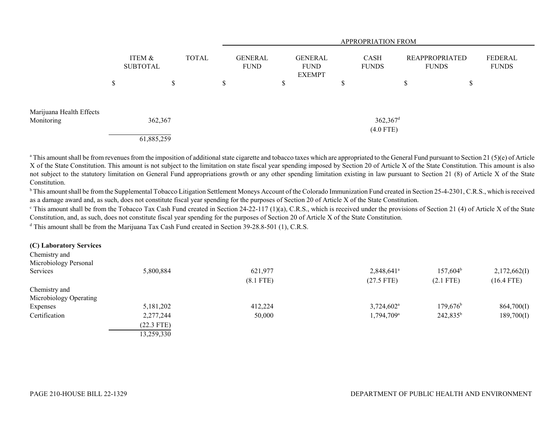|                                        |                           |            |                             |    | APPROPRIATION FROM |                                                |  |   |                                       |                                |    |                         |
|----------------------------------------|---------------------------|------------|-----------------------------|----|--------------------|------------------------------------------------|--|---|---------------------------------------|--------------------------------|----|-------------------------|
|                                        | ITEM &<br><b>SUBTOTAL</b> |            | <b>TOTAL</b><br><b>FUND</b> |    | <b>GENERAL</b>     | <b>GENERAL</b><br><b>FUND</b><br><b>EXEMPT</b> |  |   | <b>CASH</b><br><b>FUNDS</b>           | REAPPROPRIATED<br><b>FUNDS</b> |    | FEDERAL<br><b>FUNDS</b> |
|                                        | \$                        | S          |                             | \$ |                    | Φ<br>D.                                        |  | D |                                       | Φ<br>J.                        | \$ |                         |
| Marijuana Health Effects<br>Monitoring |                           | 362,367    |                             |    |                    |                                                |  |   | $362,367$ <sup>d</sup><br>$(4.0$ FTE) |                                |    |                         |
|                                        |                           | 61,885,259 |                             |    |                    |                                                |  |   |                                       |                                |    |                         |

<sup>a</sup> This amount shall be from revenues from the imposition of additional state cigarette and tobacco taxes which are appropriated to the General Fund pursuant to Section 21 (5)(e) of Article X of the State Constitution. This amount is not subject to the limitation on state fiscal year spending imposed by Section 20 of Article X of the State Constitution. This amount is also not subject to the statutory limitation on General Fund appropriations growth or any other spending limitation existing in law pursuant to Section 21 (8) of Article X of the State Constitution.

<sup>b</sup> This amount shall be from the Supplemental Tobacco Litigation Settlement Moneys Account of the Colorado Immunization Fund created in Section 25-4-2301, C.R.S., which is received as a damage award and, as such, does not constitute fiscal year spending for the purposes of Section 20 of Article X of the State Constitution.

<sup>c</sup> This amount shall be from the Tobacco Tax Cash Fund created in Section 24-22-117 (1)(a), C.R.S., which is received under the provisions of Section 21 (4) of Article X of the State Constitution, and, as such, does not constitute fiscal year spending for the purposes of Section 20 of Article X of the State Constitution.

<sup>d</sup> This amount shall be from the Marijuana Tax Cash Fund created in Section 39-28.8-501 (1), C.R.S.

| (C) Laboratory Services |              |             |                          |                   |              |
|-------------------------|--------------|-------------|--------------------------|-------------------|--------------|
| Chemistry and           |              |             |                          |                   |              |
| Microbiology Personal   |              |             |                          |                   |              |
| Services                | 5,800,884    | 621,977     | $2,848,641$ <sup>a</sup> | $157,604^{\rm b}$ | 2,172,662(I) |
|                         |              | $(8.1$ FTE) | $(27.5$ FTE)             | $(2.1$ FTE)       | $(16.4$ FTE) |
| Chemistry and           |              |             |                          |                   |              |
| Microbiology Operating  |              |             |                          |                   |              |
| Expenses                | 5,181,202    | 412,224     | $3,724,602^{\circ}$      | $179,676^{\rm b}$ | 864,700(I)   |
| Certification           | 2,277,244    | 50,000      | 1,794,709 <sup>a</sup>   | $242,835^b$       | 189,700(I)   |
|                         | $(22.3$ FTE) |             |                          |                   |              |
|                         | 13,259,330   |             |                          |                   |              |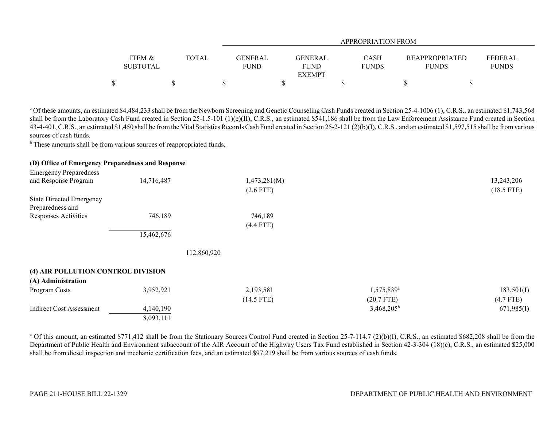|                   |              |         | <b>APPROPRIATION FROM</b> |              |                       |                |  |  |  |
|-------------------|--------------|---------|---------------------------|--------------|-----------------------|----------------|--|--|--|
|                   |              |         |                           |              |                       |                |  |  |  |
| <b>ITEM &amp;</b> | <b>TOTAL</b> | GENERAL | <b>GENERAL</b>            | <b>CASH</b>  | <b>REAPPROPRIATED</b> | <b>FEDERAL</b> |  |  |  |
| <b>SUBTOTAL</b>   |              | FUND    | <b>FUND</b>               | <b>FUNDS</b> | <b>FUNDS</b>          | <b>FUNDS</b>   |  |  |  |
|                   |              |         | <b>EXEMPT</b>             |              |                       |                |  |  |  |
| ¢<br>Φ            |              |         |                           |              |                       |                |  |  |  |

<sup>a</sup> Of these amounts, an estimated \$4,484,233 shall be from the Newborn Screening and Genetic Counseling Cash Funds created in Section 25-4-1006 (1), C.R.S., an estimated \$1,743,568 shall be from the Laboratory Cash Fund created in Section 25-1.5-101 (1)(e)(II), C.R.S., an estimated \$541,186 shall be from the Law Enforcement Assistance Fund created in Section 43-4-401, C.R.S., an estimated \$1,450 shall be from the Vital Statistics Records Cash Fund created in Section 25-2-121 (2)(b)(I), C.R.S., and an estimated \$1,597,515 shall be from various sources of cash funds.

<sup>b</sup> These amounts shall be from various sources of reappropriated funds.

|  | (D) Office of Emergency Preparedness and Response |  |  |
|--|---------------------------------------------------|--|--|
|--|---------------------------------------------------|--|--|

| <b>Emergency Preparedness</b>      |             |              |                        |              |
|------------------------------------|-------------|--------------|------------------------|--------------|
| and Response Program               | 14,716,487  | 1,473,281(M) |                        | 13,243,206   |
|                                    |             | $(2.6$ FTE)  |                        | $(18.5$ FTE) |
| <b>State Directed Emergency</b>    |             |              |                        |              |
| Preparedness and                   |             |              |                        |              |
| <b>Responses Activities</b>        | 746,189     | 746,189      |                        |              |
|                                    |             | $(4.4$ FTE)  |                        |              |
|                                    | 15,462,676  |              |                        |              |
|                                    | 112,860,920 |              |                        |              |
| (4) AIR POLLUTION CONTROL DIVISION |             |              |                        |              |
| (A) Administration                 |             |              |                        |              |
| Program Costs                      | 3,952,921   | 2,193,581    | 1,575,839 <sup>a</sup> | 183,501(I)   |
|                                    |             | $(14.5$ FTE) | $(20.7$ FTE)           | $(4.7$ FTE)  |
| <b>Indirect Cost Assessment</b>    | 4,140,190   |              | $3,468,205^b$          | 671,985(I)   |
|                                    | 8,093,111   |              |                        |              |

<sup>a</sup> Of this amount, an estimated \$771,412 shall be from the Stationary Sources Control Fund created in Section 25-7-114.7 (2)(b)(I), C.R.S., an estimated \$682,208 shall be from the Department of Public Health and Environment subaccount of the AIR Account of the Highway Users Tax Fund established in Section 42-3-304 (18)(c), C.R.S., an estimated \$25,000 shall be from diesel inspection and mechanic certification fees, and an estimated \$97,219 shall be from various sources of cash funds.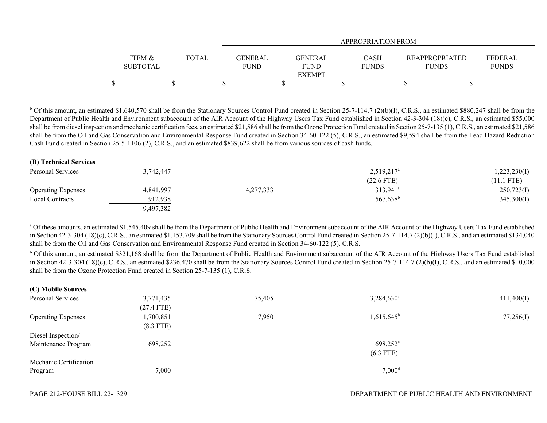|                                      |              |                 | APPROPRIATION FROM                             |                             |                                       |                                |  |  |  |  |
|--------------------------------------|--------------|-----------------|------------------------------------------------|-----------------------------|---------------------------------------|--------------------------------|--|--|--|--|
| <b>ITEM &amp;</b><br><b>SUBTOTAL</b> | <b>TOTAL</b> | GENERAL<br>FUND | <b>GENERAL</b><br><b>FUND</b><br><b>EXEMPT</b> | <b>CASH</b><br><b>FUNDS</b> | <b>REAPPROPRIATED</b><br><b>FUNDS</b> | <b>FEDERAL</b><br><b>FUNDS</b> |  |  |  |  |
|                                      |              |                 |                                                |                             |                                       |                                |  |  |  |  |

 $b$  Of this amount, an estimated \$1,640,570 shall be from the Stationary Sources Control Fund created in Section 25-7-114.7 (2)(b)(I), C.R.S., an estimated \$880,247 shall be from the Department of Public Health and Environment subaccount of the AIR Account of the Highway Users Tax Fund established in Section 42-3-304 (18)(c), C.R.S., an estimated \$55,000 shall be from diesel inspection and mechanic certification fees, an estimated \$21,586 shall be from the Ozone Protection Fund created in Section 25-7-135 (1), C.R.S., an estimated \$21,586 shall be from the Oil and Gas Conservation and Environmental Response Fund created in Section 34-60-122 (5), C.R.S., an estimated \$9,594 shall be from the Lead Hazard Reduction Cash Fund created in Section 25-5-1106 (2), C.R.S., and an estimated \$839,622 shall be from various sources of cash funds.

| (B) Technical Services    |           |           |                        |              |
|---------------------------|-----------|-----------|------------------------|--------------|
| Personal Services         | 3.742.447 |           | $2,519,217^{\circ}$    | 1,223,230(I) |
|                           |           |           | $(22.6$ FTE)           | $(11.1$ FTE) |
| <b>Operating Expenses</b> | 4,841,997 | 4,277,333 | $313,941$ <sup>a</sup> | 250,723(I)   |
| Local Contracts           | 912,938   |           | 567,638 <sup>b</sup>   | 345,300(I)   |
|                           | 9,497,382 |           |                        |              |

<sup>a</sup> Of these amounts, an estimated \$1,545,409 shall be from the Department of Public Health and Environment subaccount of the AIR Account of the Highway Users Tax Fund established in Section 42-3-304 (18)(c), C.R.S., an estimated \$1,153,709 shall be from the Stationary Sources Control Fund created in Section 25-7-114.7 (2)(b)(I), C.R.S., and an estimated \$134,040 shall be from the Oil and Gas Conservation and Environmental Response Fund created in Section 34-60-122 (5), C.R.S.

<sup>b</sup> Of this amount, an estimated \$321,168 shall be from the Department of Public Health and Environment subaccount of the AIR Account of the Highway Users Tax Fund established in Section 42-3-304 (18)(c), C.R.S., an estimated \$236,470 shall be from the Stationary Sources Control Fund created in Section 25-7-114.7 (2)(b)(I), C.R.S., and an estimated \$10,000 shall be from the Ozone Protection Fund created in Section 25-7-135 (1), C.R.S.

| 3,771,435    | 75,405 | $3,284,630^a$     | 411,400(I)           |
|--------------|--------|-------------------|----------------------|
| $(27.4$ FTE) |        |                   |                      |
| 1,700,851    | 7,950  | $1,615,645^b$     | 77,256(I)            |
| $(8.3$ FTE)  |        |                   |                      |
|              |        |                   |                      |
| 698,252      |        | $698,252^{\circ}$ |                      |
|              |        | $(6.3$ FTE)       |                      |
|              |        |                   |                      |
| 7,000        |        |                   |                      |
|              |        |                   | $7,000$ <sup>d</sup> |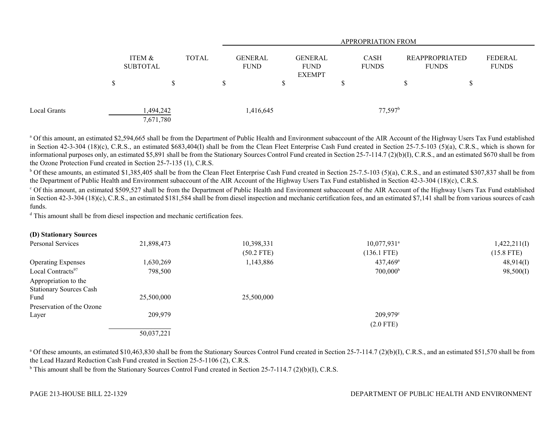|              |    |                           |              |                               |                                                | <b>APPROPRIATION FROM</b> |                             |                                       |                         |  |
|--------------|----|---------------------------|--------------|-------------------------------|------------------------------------------------|---------------------------|-----------------------------|---------------------------------------|-------------------------|--|
|              |    | ITEM &<br><b>SUBTOTAL</b> | <b>TOTAL</b> | <b>GENERAL</b><br><b>FUND</b> | <b>GENERAL</b><br><b>FUND</b><br><b>EXEMPT</b> |                           | <b>CASH</b><br><b>FUNDS</b> | <b>REAPPROPRIATED</b><br><b>FUNDS</b> | FEDERAL<br><b>FUNDS</b> |  |
|              | ۵D | S                         | D            |                               |                                                | Φ                         |                             | \$                                    |                         |  |
| Local Grants |    | 1,494,242<br>7,671,780    |              | 1,416,645                     |                                                |                           | $77,597$ <sup>b</sup>       |                                       |                         |  |

<sup>a</sup> Of this amount, an estimated \$2,594,665 shall be from the Department of Public Health and Environment subaccount of the AIR Account of the Highway Users Tax Fund established in Section 42-3-304 (18)(c), C.R.S., an estimated \$683,404(I) shall be from the Clean Fleet Enterprise Cash Fund created in Section 25-7.5-103 (5)(a), C.R.S., which is shown for informational purposes only, an estimated \$5,891 shall be from the Stationary Sources Control Fund created in Section 25-7-114.7 (2)(b)(I), C.R.S., and an estimated \$670 shall be from the Ozone Protection Fund created in Section 25-7-135 (1), C.R.S.

 $^{\rm b}$  Of these amounts, an estimated \$1,385,405 shall be from the Clean Fleet Enterprise Cash Fund created in Section 25-7.5-103 (5)(a), C.R.S., and an estimated \$307,837 shall be from the Department of Public Health and Environment subaccount of the AIR Account of the Highway Users Tax Fund established in Section 42-3-304 (18)(c), C.R.S.

c Of this amount, an estimated \$509,527 shall be from the Department of Public Health and Environment subaccount of the AIR Account of the Highway Users Tax Fund established in Section 42-3-304 (18)(c), C.R.S., an estimated \$181,584 shall be from diesel inspection and mechanic certification fees, and an estimated \$7,141 shall be from various sources of cash funds.

<sup>d</sup> This amount shall be from diesel inspection and mechanic certification fees.

| (D) Stationary Sources         |            |              |                           |              |
|--------------------------------|------------|--------------|---------------------------|--------------|
| Personal Services              | 21,898,473 | 10,398,331   | $10,077,931$ <sup>a</sup> | 1,422,211(I) |
|                                |            | $(50.2$ FTE) | $(136.1$ FTE)             | $(15.8$ FTE) |
| <b>Operating Expenses</b>      | 1,630,269  | 1,143,886    | $437,469$ <sup>a</sup>    | 48,914(I)    |
| Local Contracts <sup>97</sup>  | 798,500    |              | $700,000^{\rm b}$         | 98,500(I)    |
| Appropriation to the           |            |              |                           |              |
| <b>Stationary Sources Cash</b> |            |              |                           |              |
| Fund                           | 25,500,000 | 25,500,000   |                           |              |
| Preservation of the Ozone      |            |              |                           |              |
| Layer                          | 209,979    |              | $209,979$ °               |              |
|                                |            |              | $(2.0$ FTE)               |              |
|                                | 50,037,221 |              |                           |              |

<sup>a</sup> Of these amounts, an estimated \$10,463,830 shall be from the Stationary Sources Control Fund created in Section 25-7-114.7 (2)(b)(I), C.R.S., and an estimated \$51,570 shall be from the Lead Hazard Reduction Cash Fund created in Section 25-5-1106 (2), C.R.S.

<sup>b</sup> This amount shall be from the Stationary Sources Control Fund created in Section 25-7-114.7 (2)(b)(I), C.R.S.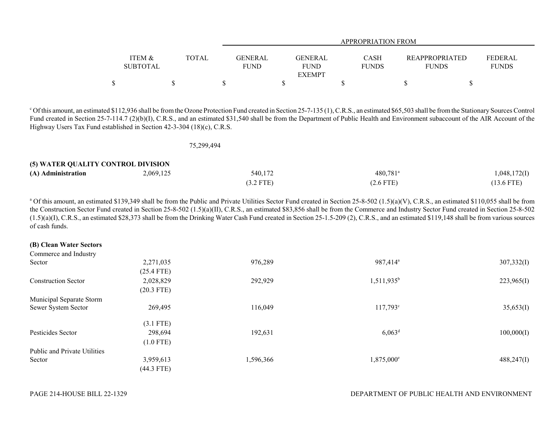|                   |       |             | APPROPRIATION FROM |              |                       |                |  |
|-------------------|-------|-------------|--------------------|--------------|-----------------------|----------------|--|
|                   |       |             |                    |              |                       |                |  |
| <b>ITEM &amp;</b> | TOTAL | GENERAL     | <b>GENERAL</b>     | <b>CASH</b>  | <b>REAPPROPRIATED</b> | <b>FEDERAL</b> |  |
| <b>SUBTOTAL</b>   |       | <b>FUND</b> | FUND               | <b>FUNDS</b> | <b>FUNDS</b>          | <b>FUNDS</b>   |  |
|                   |       |             | <b>EXEMPT</b>      |              |                       |                |  |
|                   |       |             |                    |              |                       |                |  |

<sup>c</sup> Of this amount, an estimated \$112,936 shall be from the Ozone Protection Fund created in Section 25-7-135 (1), C.R.S., an estimated \$65,503 shall be from the Stationary Sources Control Fund created in Section 25-7-114.7 (2)(b)(I), C.R.S., and an estimated \$31,540 shall be from the Department of Public Health and Environment subaccount of the AIR Account of the Highway Users Tax Fund established in Section 42-3-304 (18)(c), C.R.S.

|                                    | 75,299,494 |             |                        |              |
|------------------------------------|------------|-------------|------------------------|--------------|
| (5) WATER QUALITY CONTROL DIVISION |            |             |                        |              |
| (A) Administration                 | 2,069,125  | 540,172     | $480,781$ <sup>a</sup> | 1,048,172(I) |
|                                    |            | $(3.2$ FTE) | $(2.6$ FTE)            | $(13.6$ FTE) |

<sup>a</sup> Of this amount, an estimated \$139,349 shall be from the Public and Private Utilities Sector Fund created in Section 25-8-502 (1.5)(a)(V), C.R.S., an estimated \$110,055 shall be from the Construction Sector Fund created in Section 25-8-502 (1.5)(a)(II), C.R.S., an estimated \$83,856 shall be from the Commerce and Industry Sector Fund created in Section 25-8-502  $(1.5)(a)(I)$ , C.R.S., an estimated \$28,373 shall be from the Drinking Water Cash Fund created in Section 25-1.5-209 (2), C.R.S., and an estimated \$119,148 shall be from various sources of cash funds.

| (B) Clean Water Sectors      |              |           |                        |            |
|------------------------------|--------------|-----------|------------------------|------------|
| Commerce and Industry        |              |           |                        |            |
| Sector                       | 2,271,035    | 976,289   | 987,414 <sup>a</sup>   | 307,332(I) |
|                              | $(25.4$ FTE) |           |                        |            |
| <b>Construction Sector</b>   | 2,028,829    | 292,929   | $1,511,935^b$          | 223,965(I) |
|                              | $(20.3$ FTE) |           |                        |            |
| Municipal Separate Storm     |              |           |                        |            |
| Sewer System Sector          | 269,495      | 116,049   | $117,793^{\circ}$      | 35,653(I)  |
|                              | $(3.1$ FTE)  |           |                        |            |
| Pesticides Sector            | 298,694      | 192,631   | $6,063^{\rm d}$        | 100,000(I) |
|                              | $(1.0$ FTE)  |           |                        |            |
| Public and Private Utilities |              |           |                        |            |
| Sector                       | 3,959,613    | 1,596,366 | 1,875,000 <sup>e</sup> | 488,247(I) |
|                              | $(44.3$ FTE) |           |                        |            |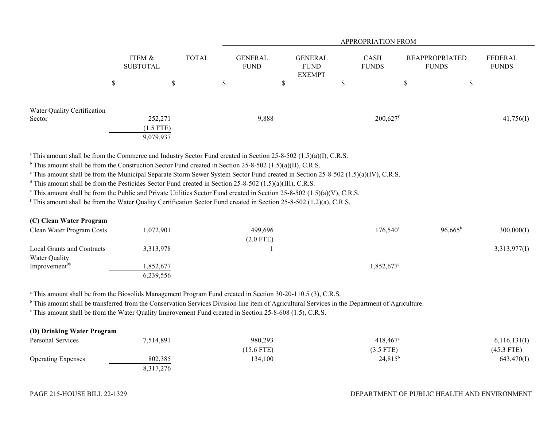|                                       |                                     |              |               | <b>APPROPRIATION FROM</b>     |                                                |   |                             |                                       |        |                         |
|---------------------------------------|-------------------------------------|--------------|---------------|-------------------------------|------------------------------------------------|---|-----------------------------|---------------------------------------|--------|-------------------------|
|                                       | ITEM &<br><b>SUBTOTAL</b>           | <b>TOTAL</b> |               | <b>GENERAL</b><br><b>FUND</b> | <b>GENERAL</b><br><b>FUND</b><br><b>EXEMPT</b> |   | <b>CASH</b><br><b>FUNDS</b> | <b>REAPPROPRIATED</b><br><b>FUNDS</b> |        | FEDERAL<br><b>FUNDS</b> |
|                                       | \$<br>\$                            |              | <sup>\$</sup> |                               | \$                                             | D |                             | \$                                    | ¢<br>Φ |                         |
| Water Quality Certification<br>Sector | 252,271<br>$(1.5$ FTE)<br>9,079,937 |              |               | 9,888                         |                                                |   | $200,627$ <sup>f</sup>      |                                       |        | 41,756(I)               |

<sup>a</sup> This amount shall be from the Commerce and Industry Sector Fund created in Section 25-8-502 (1.5)(a)(I), C.R.S.

 $b$  This amount shall be from the Construction Sector Fund created in Section 25-8-502 (1.5)(a)(II), C.R.S.

 $\degree$  This amount shall be from the Municipal Separate Storm Sewer System Sector Fund created in Section 25-8-502 (1.5)(a)(IV), C.R.S.

<sup>d</sup> This amount shall be from the Pesticides Sector Fund created in Section 25-8-502 (1.5)(a)(III), C.R.S.

e This amount shall be from the Public and Private Utilities Sector Fund created in Section 25-8-502 (1.5)(a)(V), C.R.S.

<sup>f</sup> This amount shall be from the Water Quality Certification Sector Fund created in Section 25-8-502 (1.2)(a), C.R.S.

| (C) Clean water Program    |           |             |                     |                  |              |
|----------------------------|-----------|-------------|---------------------|------------------|--------------|
| Clean Water Program Costs  | 1,072,901 | 499.696     | $176,540^{\circ}$   | $96,665^{\rm b}$ | 300,000(I)   |
|                            |           | $(2.0$ FTE) |                     |                  |              |
| Local Grants and Contracts | 3,313,978 |             |                     |                  | 3,313,977(I) |
| Water Quality              |           |             |                     |                  |              |
| Improvement <sup>98</sup>  | ,852,677  |             | $1,852,677^{\circ}$ |                  |              |
|                            | 6,239,556 |             |                     |                  |              |

<sup>a</sup> This amount shall be from the Biosolids Management Program Fund created in Section 30-20-110.5 (3), C.R.S.

<sup>b</sup> This amount shall be transferred from the Conservation Services Division line item of Agricultural Services in the Department of Agriculture.

<sup>c</sup> This amount shall be from the Water Quality Improvement Fund created in Section 25-8-608 (1.5), C.R.S.

| (D) Drinking Water Program |           |              |                        |              |
|----------------------------|-----------|--------------|------------------------|--------------|
| Personal Services          | 7,514,891 | 980,293      | $418.467$ <sup>a</sup> | 6,116,131(I) |
|                            |           | $(15.6$ FTE) | $(3.5$ FTE)            | $(45.3$ FTE) |
| <b>Operating Expenses</b>  | 802,385   | 134,100      | $24,815^b$             | 643,470(I)   |
|                            | 8,317,276 |              |                        |              |

**(C) Clean Water Program**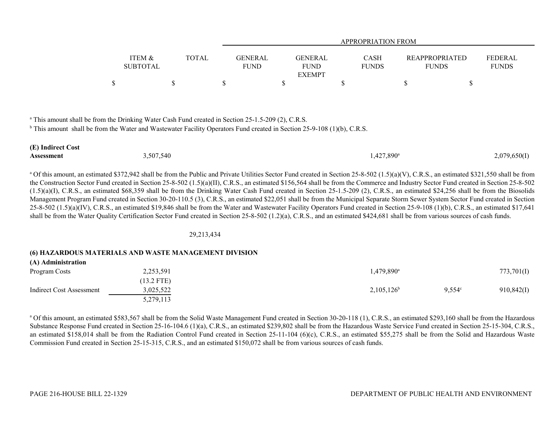|                                      |              |                               | <b>APPROPRIATION FROM</b> |                             |                                       |                                |  |
|--------------------------------------|--------------|-------------------------------|---------------------------|-----------------------------|---------------------------------------|--------------------------------|--|
|                                      |              |                               |                           |                             |                                       |                                |  |
| <b>ITEM &amp;</b><br><b>SUBTOTAL</b> | <b>TOTAL</b> | <b>GENERAL</b><br><b>FUND</b> | GENERAL<br><b>FUND</b>    | <b>CASH</b><br><b>FUNDS</b> | <b>REAPPROPRIATED</b><br><b>FUNDS</b> | <b>FEDERAL</b><br><b>FUNDS</b> |  |
|                                      |              |                               | <b>EXEMPT</b>             |                             |                                       |                                |  |
|                                      |              |                               |                           |                             |                                       |                                |  |

<sup>a</sup> This amount shall be from the Drinking Water Cash Fund created in Section 25-1.5-209 (2), C.R.S.

<sup>b</sup> This amount shall be from the Water and Wastewater Facility Operators Fund created in Section 25-9-108 (1)(b), C.R.S.

| (E) Indirect Cost |           |                     |              |
|-------------------|-----------|---------------------|--------------|
| Assessment        | 3,507,540 | $1,427,890^{\circ}$ | 2,079,650(I) |

<sup>a</sup> Of this amount, an estimated \$372,942 shall be from the Public and Private Utilities Sector Fund created in Section 25-8-502 (1.5)(a)(V), C.R.S., an estimated \$321,550 shall be from the Construction Sector Fund created in Section 25-8-502 (1.5)(a)(II), C.R.S., an estimated \$156,564 shall be from the Commerce and Industry Sector Fund created in Section 25-8-502  $(1.5)(a)(I)$ , C.R.S., an estimated \$68,359 shall be from the Drinking Water Cash Fund created in Section 25-1.5-209 (2), C.R.S., an estimated \$24,256 shall be from the Biosolids Management Program Fund created in Section 30-20-110.5 (3), C.R.S., an estimated \$22,051 shall be from the Municipal Separate Storm Sewer System Sector Fund created in Section  $25-8-502$  (1.5)(a)(IV), C.R.S., an estimated \$19,846 shall be from the Water and Wastewater Facility Operators Fund created in Section 25-9-108 (1)(b), C.R.S., an estimated \$17,641 shall be from the Water Quality Certification Sector Fund created in Section 25-8-502 (1.2)(a), C.R.S., and an estimated \$424,681 shall be from various sources of cash funds.

29,213,434

### **(6) HAZARDOUS MATERIALS AND WASTE MANAGEMENT DIVISION**

| (A) Administration       |              |                          |                 |            |
|--------------------------|--------------|--------------------------|-----------------|------------|
| Program Costs            | 2,253,591    | $1,479,890$ <sup>a</sup> |                 | 773,701(I) |
|                          | $(13.2$ FTE) |                          |                 |            |
| Indirect Cost Assessment | 3,025,522    | $2,105,126^b$            | $9,554^{\circ}$ | 910,842(I) |
|                          | 5,279,113    |                          |                 |            |

<sup>a</sup> Of this amount, an estimated \$583,567 shall be from the Solid Waste Management Fund created in Section 30-20-118 (1), C.R.S., an estimated \$293,160 shall be from the Hazardous Substance Response Fund created in Section 25-16-104.6 (1)(a), C.R.S., an estimated \$239,802 shall be from the Hazardous Waste Service Fund created in Section 25-15-304, C.R.S., an estimated \$158,014 shall be from the Radiation Control Fund created in Section 25-11-104 (6)(c), C.R.S., an estimated \$55,275 shall be from the Solid and Hazardous Waste Commission Fund created in Section 25-15-315, C.R.S., and an estimated \$150,072 shall be from various sources of cash funds.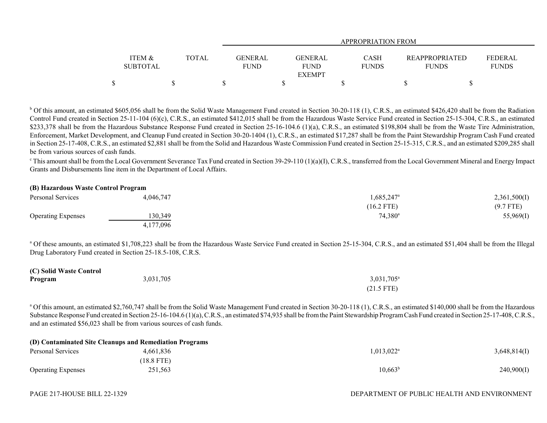|                   |              |             | APPROPRIATION FROM |              |  |                                  |  |
|-------------------|--------------|-------------|--------------------|--------------|--|----------------------------------|--|
|                   |              |             |                    |              |  |                                  |  |
| <b>ITEM &amp;</b> | <b>TOTAL</b> | GENERAL     | GENERAL            | CASH         |  | FEDERAL<br><b>REAPPROPRIATED</b> |  |
| <b>SUBTOTAL</b>   |              | <b>FUND</b> | <b>FUND</b>        | <b>FUNDS</b> |  | <b>FUNDS</b><br><b>FUNDS</b>     |  |
|                   |              |             | <b>EXEMPT</b>      |              |  |                                  |  |
|                   |              |             |                    |              |  |                                  |  |

<sup>b</sup> Of this amount, an estimated \$605,056 shall be from the Solid Waste Management Fund created in Section 30-20-118 (1), C.R.S., an estimated \$426,420 shall be from the Radiation Control Fund created in Section 25-11-104 (6)(c), C.R.S., an estimated \$412,015 shall be from the Hazardous Waste Service Fund created in Section 25-15-304, C.R.S., an estimated \$233,378 shall be from the Hazardous Substance Response Fund created in Section 25-16-104.6 (1)(a), C.R.S., an estimated \$198,804 shall be from the Waste Tire Administration, Enforcement, Market Development, and Cleanup Fund created in Section 30-20-1404 (1), C.R.S., an estimated \$17,287 shall be from the Paint Stewardship Program Cash Fund created in Section 25-17-408, C.R.S., an estimated \$2,881 shall be from the Solid and Hazardous Waste Commission Fund created in Section 25-15-315, C.R.S., and an estimated \$209,285 shall be from various sources of cash funds.

 $\degree$ This amount shall be from the Local Government Severance Tax Fund created in Section 39-29-110 (1)(a)(I), C.R.S., transferred from the Local Government Mineral and Energy Impact Grants and Disbursements line item in the Department of Local Affairs.

# **(B) Hazardous Waste Control Program**

| Personal Services         | 4,046,747 | $1,685,247$ <sup>a</sup> | 2,361,500(I) |
|---------------------------|-----------|--------------------------|--------------|
|                           |           | $(16.2$ FTE)             | $(9.7$ FTE)  |
| <b>Operating Expenses</b> | 130,349   | $74,380^{\circ}$         | 55,969(I)    |
|                           | 4,177,096 |                          |              |

<sup>a</sup> Of these amounts, an estimated \$1,708,223 shall be from the Hazardous Waste Service Fund created in Section 25-15-304, C.R.S., and an estimated \$51,404 shall be from the Illegal Drug Laboratory Fund created in Section 25-18.5-108, C.R.S.

| (C) Solid Waste Control |           |                        |
|-------------------------|-----------|------------------------|
| Program                 | 3,031,705 | 3,031,705 <sup>a</sup> |
|                         |           | $(21.5$ FTE)           |

<sup>a</sup> Of this amount, an estimated \$2,760,747 shall be from the Solid Waste Management Fund created in Section 30-20-118 (1), C.R.S., an estimated \$140,000 shall be from the Hazardous Substance Response Fund created in Section 25-16-104.6 (1)(a), C.R.S., an estimated \$74,935 shall be from the Paint Stewardship Program Cash Fund created in Section 25-17-408, C.R.S., and an estimated \$56,023 shall be from various sources of cash funds.

|                           | (D) Contaminated Site Cleanups and Remediation Programs |                        |              |
|---------------------------|---------------------------------------------------------|------------------------|--------------|
| Personal Services         | 4.661.836                                               | $1.013.022^{\text{a}}$ | 3,648,814(I) |
|                           | (18.8 FTE)                                              |                        |              |
| <b>Operating Expenses</b> | 251,563                                                 | $10,663^{\rm b}$       | 240,900(I)   |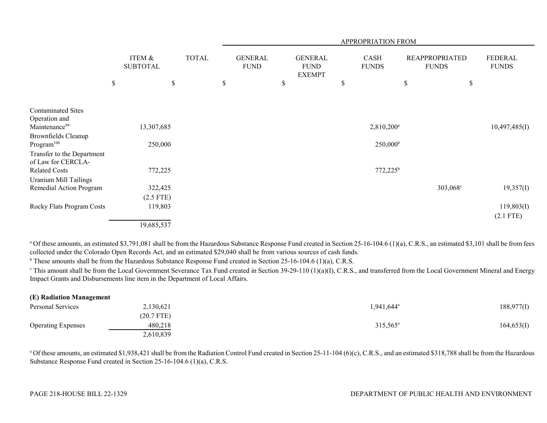|                              |    |                           |              |    | APPROPRIATION FROM            |    |                                                |    |                             |    |                                       |    |                                |
|------------------------------|----|---------------------------|--------------|----|-------------------------------|----|------------------------------------------------|----|-----------------------------|----|---------------------------------------|----|--------------------------------|
|                              |    | ITEM &<br><b>SUBTOTAL</b> | <b>TOTAL</b> |    | <b>GENERAL</b><br><b>FUND</b> |    | <b>GENERAL</b><br><b>FUND</b><br><b>EXEMPT</b> |    | <b>CASH</b><br><b>FUNDS</b> |    | <b>REAPPROPRIATED</b><br><b>FUNDS</b> |    | <b>FEDERAL</b><br><b>FUNDS</b> |
|                              | \$ |                           | \$           | \$ |                               | \$ |                                                | \$ |                             | \$ |                                       | \$ |                                |
|                              |    |                           |              |    |                               |    |                                                |    |                             |    |                                       |    |                                |
| <b>Contaminated Sites</b>    |    |                           |              |    |                               |    |                                                |    |                             |    |                                       |    |                                |
| Operation and                |    |                           |              |    |                               |    |                                                |    |                             |    |                                       |    |                                |
| Maintenance <sup>99</sup>    |    | 13,307,685                |              |    |                               |    |                                                |    | $2,810,200^a$               |    |                                       |    | 10,497,485(I)                  |
| Brownfields Cleanup          |    |                           |              |    |                               |    |                                                |    |                             |    |                                       |    |                                |
| Program <sup>100</sup>       |    | 250,000                   |              |    |                               |    |                                                |    | $250,000^{\rm b}$           |    |                                       |    |                                |
| Transfer to the Department   |    |                           |              |    |                               |    |                                                |    |                             |    |                                       |    |                                |
| of Law for CERCLA-           |    |                           |              |    |                               |    |                                                |    |                             |    |                                       |    |                                |
| <b>Related Costs</b>         |    | 772,225                   |              |    |                               |    |                                                |    | $772,225^b$                 |    |                                       |    |                                |
| <b>Uranium Mill Tailings</b> |    |                           |              |    |                               |    |                                                |    |                             |    |                                       |    |                                |
| Remedial Action Program      |    | 322,425                   |              |    |                               |    |                                                |    |                             |    | 303,068 <sup>c</sup>                  |    | 19,357(I)                      |
|                              |    | $(2.5$ FTE)               |              |    |                               |    |                                                |    |                             |    |                                       |    |                                |
| Rocky Flats Program Costs    |    | 119,803                   |              |    |                               |    |                                                |    |                             |    |                                       |    | 119,803(I)                     |
|                              |    |                           |              |    |                               |    |                                                |    |                             |    |                                       |    | $(2.1$ FTE)                    |
|                              |    | 19,685,537                |              |    |                               |    |                                                |    |                             |    |                                       |    |                                |

<sup>a</sup> Of these amounts, an estimated \$3,791,081 shall be from the Hazardous Substance Response Fund created in Section 25-16-104.6 (1)(a), C.R.S., an estimated \$3,101 shall be from fees collected under the Colorado Open Records Act, and an estimated \$29,040 shall be from various sources of cash funds.

 $<sup>b</sup>$  These amounts shall be from the Hazardous Substance Response Fund created in Section 25-16-104.6 (1)(a), C.R.S.</sup>

<sup>c</sup> This amount shall be from the Local Government Severance Tax Fund created in Section 39-29-110 (1)(a)(I), C.R.S., and transferred from the Local Government Mineral and Energy Impact Grants and Disbursements line item in the Department of Local Affairs.

| (E) Radiation Management  |              |                     |            |
|---------------------------|--------------|---------------------|------------|
| Personal Services         | 2,130,621    | $0.941.644^{\circ}$ | 188,977(I) |
|                           | $(20.7$ FTE) |                     |            |
| <b>Operating Expenses</b> | 480,218      | $315,565^{\circ}$   | 164,653(I) |
|                           | 2,610,839    |                     |            |

<sup>a</sup> Of these amounts, an estimated \$1,938,421 shall be from the Radiation Control Fund created in Section 25-11-104 (6)(c), C.R.S., and an estimated \$318,788 shall be from the Hazardous Substance Response Fund created in Section 25-16-104.6 (1)(a), C.R.S.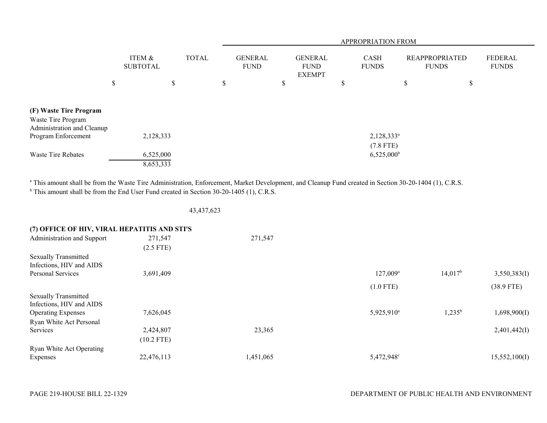|                                                                            |                           |              |  | APPROPRIATION FROM |                               |    |                                                |   |                              |                                       |   |                                |  |  |
|----------------------------------------------------------------------------|---------------------------|--------------|--|--------------------|-------------------------------|----|------------------------------------------------|---|------------------------------|---------------------------------------|---|--------------------------------|--|--|
|                                                                            | ITEM &<br><b>SUBTOTAL</b> | <b>TOTAL</b> |  |                    | <b>GENERAL</b><br><b>FUND</b> |    | <b>GENERAL</b><br><b>FUND</b><br><b>EXEMPT</b> |   | <b>CASH</b><br><b>FUNDS</b>  | <b>REAPPROPRIATED</b><br><b>FUNDS</b> |   | <b>FEDERAL</b><br><b>FUNDS</b> |  |  |
|                                                                            | \$                        | \$           |  | \$                 |                               | \$ |                                                | Φ |                              | \$                                    | Φ |                                |  |  |
| (F) Waste Tire Program<br>Waste Tire Program<br>Administration and Cleanup |                           |              |  |                    |                               |    |                                                |   |                              |                                       |   |                                |  |  |
| Program Enforcement                                                        | 2,128,333                 |              |  |                    |                               |    |                                                |   | $2,128,333^a$<br>$(7.8$ FTE) |                                       |   |                                |  |  |
| Waste Tire Rebates                                                         | 6,525,000<br>8,653,333    |              |  |                    |                               |    |                                                |   | $6,525,000^{\circ}$          |                                       |   |                                |  |  |

<sup>a</sup> This amount shall be from the Waste Tire Administration, Enforcement, Market Development, and Cleanup Fund created in Section 30-20-1404 (1), C.R.S. <sup>b</sup> This amount shall be from the End User Fund created in Section 30-20-1405 (1), C.R.S.

43,437,623

|  | (7) OFFICE OF HIV, VIRAL HEPATITIS AND STI'S |  |
|--|----------------------------------------------|--|
|  |                                              |  |

| Administration and Support  | 271,547      | 271,547   |                        |                  |               |
|-----------------------------|--------------|-----------|------------------------|------------------|---------------|
|                             | $(2.5$ FTE)  |           |                        |                  |               |
| <b>Sexually Transmitted</b> |              |           |                        |                  |               |
| Infections, HIV and AIDS    |              |           |                        |                  |               |
| Personal Services           | 3,691,409    |           | $127,009^a$            | $14,017^{\rm b}$ | 3,550,383(I)  |
|                             |              |           | $(1.0$ FTE)            |                  | $(38.9$ FTE)  |
| <b>Sexually Transmitted</b> |              |           |                        |                  |               |
| Infections, HIV and AIDS    |              |           |                        |                  |               |
| <b>Operating Expenses</b>   | 7,626,045    |           | 5,925,910 <sup>a</sup> | $1,235^b$        | 1,698,900(I)  |
| Ryan White Act Personal     |              |           |                        |                  |               |
| Services                    | 2,424,807    | 23,365    |                        |                  | 2,401,442(I)  |
|                             | $(10.2$ FTE) |           |                        |                  |               |
| Ryan White Act Operating    |              |           |                        |                  |               |
| Expenses                    | 22,476,113   | 1,451,065 | 5,472,948 <sup>c</sup> |                  | 15,552,100(I) |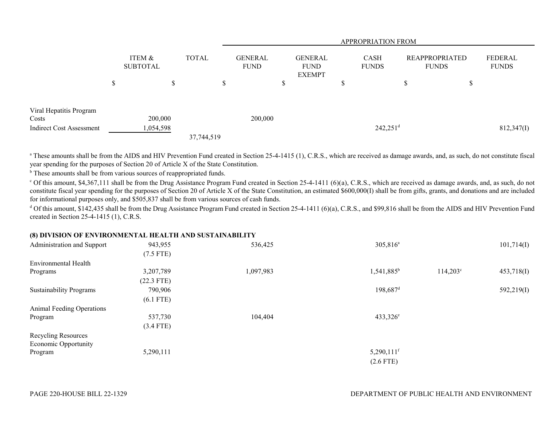|                                          |                           |              | APPROPRIATION FROM |                               |                                                |    |                             |                                       |        |                                |
|------------------------------------------|---------------------------|--------------|--------------------|-------------------------------|------------------------------------------------|----|-----------------------------|---------------------------------------|--------|--------------------------------|
|                                          | ITEM &<br><b>SUBTOTAL</b> | <b>TOTAL</b> |                    | <b>GENERAL</b><br><b>FUND</b> | <b>GENERAL</b><br><b>FUND</b><br><b>EXEMPT</b> |    | <b>CASH</b><br><b>FUNDS</b> | <b>REAPPROPRIATED</b><br><b>FUNDS</b> |        | <b>FEDERAL</b><br><b>FUNDS</b> |
|                                          | \$<br>\$                  |              | \$.                |                               | Φ<br>D                                         | JD |                             | $\triangle$<br>Ж                      | ሖ<br>J |                                |
| Viral Hepatitis Program                  |                           |              |                    |                               |                                                |    |                             |                                       |        |                                |
| Costs<br><b>Indirect Cost Assessment</b> | 200,000<br>1,054,598      |              |                    | 200,000                       |                                                |    | $242,251$ <sup>d</sup>      |                                       |        | 812,347(I)                     |
|                                          |                           | 37,744,519   |                    |                               |                                                |    |                             |                                       |        |                                |

<sup>a</sup> These amounts shall be from the AIDS and HIV Prevention Fund created in Section 25-4-1415 (1), C.R.S., which are received as damage awards, and, as such, do not constitute fiscal year spending for the purposes of Section 20 of Article X of the State Constitution.

<sup>b</sup> These amounts shall be from various sources of reappropriated funds.

<sup>c</sup> Of this amount, \$4,367,111 shall be from the Drug Assistance Program Fund created in Section 25-4-1411 (6)(a), C.R.S., which are received as damage awards, and, as such, do not constitute fiscal year spending for the purposes of Section 20 of Article X of the State Constitution, an estimated \$600,000(I) shall be from gifts, grants, and donations and are included for informational purposes only, and \$505,837 shall be from various sources of cash funds.

 $d$  Of this amount, \$142,435 shall be from the Drug Assistance Program Fund created in Section 25-4-1411 (6)(a), C.R.S., and \$99,816 shall be from the AIDS and HIV Prevention Fund created in Section 25-4-1415 (1), C.R.S.

# **(8) DIVISION OF ENVIRONMENTAL HEALTH AND SUSTAINABILITY**

| Administration and Support       | 943,955      | 536,425   | $305,816^a$              |                   | 101,714(I) |
|----------------------------------|--------------|-----------|--------------------------|-------------------|------------|
|                                  | $(7.5$ FTE)  |           |                          |                   |            |
| Environmental Health             |              |           |                          |                   |            |
| Programs                         | 3,207,789    | 1,097,983 | 1,541,885 <sup>b</sup>   | $114,203^{\circ}$ | 453,718(I) |
|                                  | $(22.3$ FTE) |           |                          |                   |            |
| <b>Sustainability Programs</b>   | 790,906      |           | $198,687$ <sup>d</sup>   |                   | 592,219(1) |
|                                  | $(6.1$ FTE)  |           |                          |                   |            |
| <b>Animal Feeding Operations</b> |              |           |                          |                   |            |
| Program                          | 537,730      | 104,404   | $433,326^{\circ}$        |                   |            |
|                                  | $(3.4$ FTE)  |           |                          |                   |            |
| Recycling Resources              |              |           |                          |                   |            |
| <b>Economic Opportunity</b>      |              |           |                          |                   |            |
| Program                          | 5,290,111    |           | $5,290,111$ <sup>f</sup> |                   |            |
|                                  |              |           | $(2.6$ FTE)              |                   |            |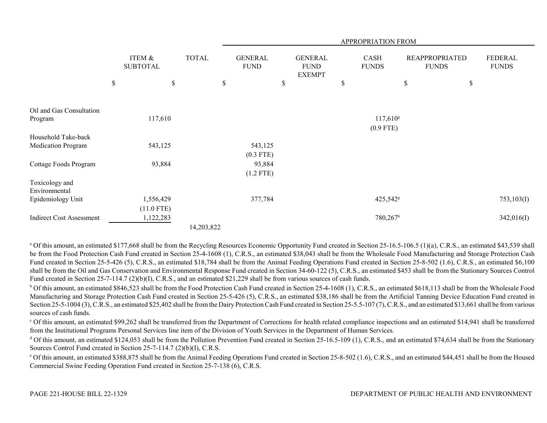|                                 |                           |              | <b>APPROPRIATION FROM</b>     |    |                                                |    |                             |    |                                       |                                |
|---------------------------------|---------------------------|--------------|-------------------------------|----|------------------------------------------------|----|-----------------------------|----|---------------------------------------|--------------------------------|
|                                 | ITEM &<br><b>SUBTOTAL</b> | <b>TOTAL</b> | <b>GENERAL</b><br><b>FUND</b> |    | <b>GENERAL</b><br><b>FUND</b><br><b>EXEMPT</b> |    | <b>CASH</b><br><b>FUNDS</b> |    | <b>REAPPROPRIATED</b><br><b>FUNDS</b> | <b>FEDERAL</b><br><b>FUNDS</b> |
|                                 | \$<br>$\$$                |              | \$                            | \$ |                                                | \$ |                             | \$ | \$                                    |                                |
|                                 |                           |              |                               |    |                                                |    |                             |    |                                       |                                |
| Oil and Gas Consultation        |                           |              |                               |    |                                                |    |                             |    |                                       |                                |
| Program                         | 117,610                   |              |                               |    |                                                |    | $117,610$ <sup>g</sup>      |    |                                       |                                |
|                                 |                           |              |                               |    |                                                |    | $(0.9$ FTE)                 |    |                                       |                                |
| Household Take-back             |                           |              |                               |    |                                                |    |                             |    |                                       |                                |
| Medication Program              | 543,125                   |              | 543,125                       |    |                                                |    |                             |    |                                       |                                |
|                                 |                           |              | $(0.3$ FTE)                   |    |                                                |    |                             |    |                                       |                                |
| Cottage Foods Program           | 93,884                    |              | 93,884                        |    |                                                |    |                             |    |                                       |                                |
|                                 |                           |              | $(1.2$ FTE)                   |    |                                                |    |                             |    |                                       |                                |
| Toxicology and<br>Environmental |                           |              |                               |    |                                                |    |                             |    |                                       |                                |
| Epidemiology Unit               | 1,556,429                 |              | 377,784                       |    |                                                |    | 425,542 <sup>g</sup>        |    |                                       | 753,103(I)                     |
|                                 | $(11.0$ FTE)              |              |                               |    |                                                |    |                             |    |                                       |                                |
| <b>Indirect Cost Assessment</b> | 1,122,283                 |              |                               |    |                                                |    | $780,267$ <sup>h</sup>      |    |                                       | 342,016(I)                     |
|                                 |                           | 14.203.822   |                               |    |                                                |    |                             |    |                                       |                                |

14,203,822

<sup>a</sup> Of this amount, an estimated \$177,668 shall be from the Recycling Resources Economic Opportunity Fund created in Section 25-16.5-106.5 (1)(a), C.R.S., an estimated \$43,539 shall be from the Food Protection Cash Fund created in Section 25-4-1608 (1), C.R.S., an estimated \$38,043 shall be from the Wholesale Food Manufacturing and Storage Protection Cash Fund created in Section 25-5-426 (5), C.R.S., an estimated \$18,784 shall be from the Animal Feeding Operations Fund created in Section 25-8-502 (1.6), C.R.S., an estimated \$6,100 shall be from the Oil and Gas Conservation and Environmental Response Fund created in Section 34-60-122 (5), C.R.S., an estimated \$453 shall be from the Stationary Sources Control Fund created in Section 25-7-114.7 (2)(b)(I), C.R.S., and an estimated \$21,229 shall be from various sources of cash funds.

<sup>b</sup> Of this amount, an estimated \$846,523 shall be from the Food Protection Cash Fund created in Section 25-4-1608 (1), C.R.S., an estimated \$618,113 shall be from the Wholesale Food Manufacturing and Storage Protection Cash Fund created in Section 25-5-426 (5), C.R.S., an estimated \$38,186 shall be from the Artificial Tanning Device Education Fund created in Section 25-5-1004 (3), C.R.S., an estimated \$25,402 shall be from the Dairy Protection Cash Fund created in Section 25-5.5-107 (7), C.R.S., and an estimated \$13,661 shall be from various sources of cash funds.

c Of this amount, an estimated \$99,262 shall be transferred from the Department of Corrections for health related compliance inspections and an estimated \$14,941 shall be transferred from the Institutional Programs Personal Services line item of the Division of Youth Services in the Department of Human Services.

 $d$  Of this amount, an estimated \$124,053 shall be from the Pollution Prevention Fund created in Section 25-16.5-109 (1), C.R.S., and an estimated \$74,634 shall be from the Stationary Sources Control Fund created in Section 25-7-114.7 (2)(b)(I), C.R.S.

e Of this amount, an estimated \$388,875 shall be from the Animal Feeding Operations Fund created in Section 25-8-502 (1.6), C.R.S., and an estimated \$44,451 shall be from the Housed Commercial Swine Feeding Operation Fund created in Section 25-7-138 (6), C.R.S.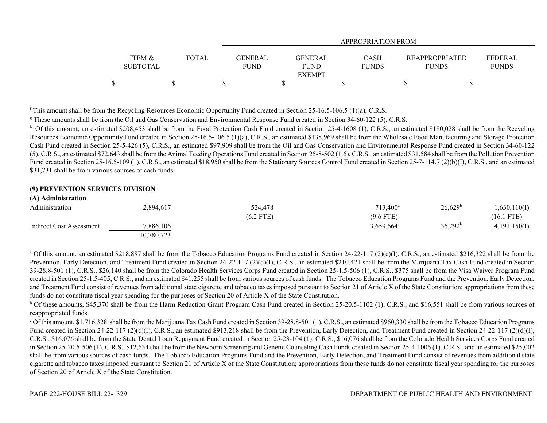|                                      |              |                               |                                         | APPROPRIATION FROM   |                                       |                                |
|--------------------------------------|--------------|-------------------------------|-----------------------------------------|----------------------|---------------------------------------|--------------------------------|
| <b>ITEM &amp;</b><br><b>SUBTOTAL</b> | <b>TOTAL</b> | <b>GENERAL</b><br><b>FUND</b> | GENERAL<br><b>FUND</b><br><b>EXEMPT</b> | CASH<br><b>FUNDS</b> | <b>REAPPROPRIATED</b><br><b>FUNDS</b> | <b>FEDERAL</b><br><b>FUNDS</b> |
| \$                                   |              |                               |                                         |                      |                                       |                                |

 $f$  This amount shall be from the Recycling Resources Economic Opportunity Fund created in Section 25-16.5-106.5 (1)(a), C.R.S.

<sup>g</sup> These amounts shall be from the Oil and Gas Conservation and Environmental Response Fund created in Section 34-60-122 (5), C.R.S.

<sup>h</sup> Of this amount, an estimated \$208,453 shall be from the Food Protection Cash Fund created in Section 25-4-1608 (1), C.R.S., an estimated \$180,028 shall be from the Recycling Resources Economic Opportunity Fund created in Section 25-16.5-106.5 (1)(a), C.R.S., an estimated \$138,969 shall be from the Wholesale Food Manufacturing and Storage Protection Cash Fund created in Section 25-5-426 (5), C.R.S., an estimated \$97,909 shall be from the Oil and Gas Conservation and Environmental Response Fund created in Section 34-60-122 (5), C.R.S., an estimated \$72,643 shall be from the Animal Feeding Operations Fund created in Section 25-8-502 (1.6), C.R.S., an estimated \$31,584 shall be from the Pollution Prevention Fund created in Section 25-16.5-109 (1), C.R.S., an estimated \$18,950 shall be from the Stationary Sources Control Fund created in Section 25-7-114.7 (2)(b)(I), C.R.S., and an estimated \$31,731 shall be from various sources of cash funds.

### **(9) PREVENTION SERVICES DIVISION**

| (A) Administration       |            |             |                     |                     |              |
|--------------------------|------------|-------------|---------------------|---------------------|--------------|
| Administration           | 2,894,617  | 524,478     | $713,400^a$         | 26,629 <sup>b</sup> | 1,630,110(I) |
|                          |            | $(6.2$ FTE) | $(9.6$ FTE)         |                     | (16.1 FTE)   |
| Indirect Cost Assessment | 7,886,106  |             | $3,659,664^{\circ}$ | $35,292^b$          | 4,191,150(I) |
|                          | 10,780,723 |             |                     |                     |              |

<sup>a</sup> Of this amount, an estimated \$218,887 shall be from the Tobacco Education Programs Fund created in Section 24-22-117 (2)(c)(I), C.R.S., an estimated \$216,322 shall be from the Prevention, Early Detection, and Treatment Fund created in Section 24-22-117 (2)(d)(I), C.R.S., an estimated \$210,421 shall be from the Marijuana Tax Cash Fund created in Section 39-28.8-501 (1), C.R.S., \$26,140 shall be from the Colorado Health Services Corps Fund created in Section 25-1.5-506 (1), C.R.S., \$375 shall be from the Visa Waiver Program Fund created in Section 25-1.5-405, C.R.S., and an estimated \$41,255 shall be from various sources of cash funds. The Tobacco Education Programs Fund and the Prevention, Early Detection, and Treatment Fund consist of revenues from additional state cigarette and tobacco taxes imposed pursuant to Section 21 of Article X of the State Constitution; appropriations from these funds do not constitute fiscal year spending for the purposes of Section 20 of Article X of the State Constitution.

<sup>b</sup> Of these amounts, \$45,370 shall be from the Harm Reduction Grant Program Cash Fund created in Section 25-20.5-1102 (1), C.R.S., and \$16,551 shall be from various sources of reappropriated funds.

c Of this amount, \$1,716,328 shall be from the Marijuana Tax Cash Fund created in Section 39-28.8-501 (1), C.R.S., an estimated \$960,330 shall be from the Tobacco Education Programs Fund created in Section 24-22-117 (2)(c)(I), C.R.S., an estimated \$913,218 shall be from the Prevention, Early Detection, and Treatment Fund created in Section 24-22-117 (2)(d)(I), C.R.S., \$16,076 shall be from the State Dental Loan Repayment Fund created in Section 25-23-104 (1), C.R.S., \$16,076 shall be from the Colorado Health Services Corps Fund created in Section 25-20.5-506 (1), C.R.S., \$12,634 shall be from the Newborn Screening and Genetic Counseling Cash Funds created in Section 25-4-1006 (1), C.R.S., and an estimated \$25,002 shall be from various sources of cash funds. The Tobacco Education Programs Fund and the Prevention, Early Detection, and Treatment Fund consist of revenues from additional state cigarette and tobacco taxes imposed pursuant to Section 21 of Article X of the State Constitution; appropriations from these funds do not constitute fiscal year spending for the purposes of Section 20 of Article X of the State Constitution.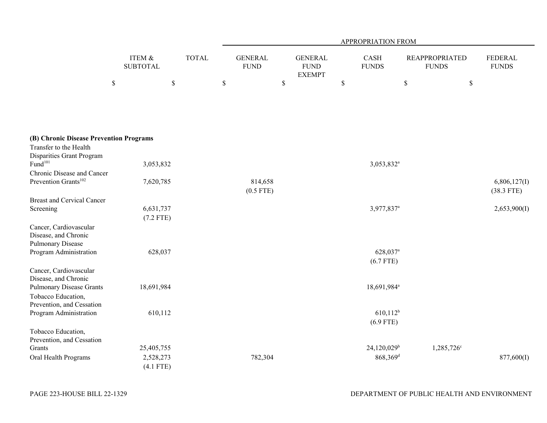|                                                                                                |                           |              | APPROPRIATION FROM |                               |             |                                                |             |                                     |                                       |              |                                |
|------------------------------------------------------------------------------------------------|---------------------------|--------------|--------------------|-------------------------------|-------------|------------------------------------------------|-------------|-------------------------------------|---------------------------------------|--------------|--------------------------------|
|                                                                                                | ITEM &<br><b>SUBTOTAL</b> | <b>TOTAL</b> |                    | <b>GENERAL</b><br><b>FUND</b> |             | <b>GENERAL</b><br><b>FUND</b><br><b>EXEMPT</b> |             | CASH<br><b>FUNDS</b>                | <b>REAPPROPRIATED</b><br><b>FUNDS</b> |              | <b>FEDERAL</b><br><b>FUNDS</b> |
|                                                                                                | $\$$                      | $\mathbb S$  | $\$$               |                               | $\mathbb S$ |                                                | $\mathbb S$ |                                     | $\$$                                  | $\mathbb{S}$ |                                |
| (B) Chronic Disease Prevention Programs<br>Transfer to the Health<br>Disparities Grant Program |                           |              |                    |                               |             |                                                |             |                                     |                                       |              |                                |
| Fund <sup>101</sup>                                                                            | 3,053,832                 |              |                    |                               |             |                                                |             | 3,053,832 <sup>a</sup>              |                                       |              |                                |
| Chronic Disease and Cancer<br>Prevention Grants <sup>102</sup>                                 | 7,620,785                 |              |                    | 814,658<br>$(0.5$ FTE)        |             |                                                |             |                                     |                                       |              | 6,806,127(I)<br>$(38.3$ FTE)   |
| <b>Breast and Cervical Cancer</b>                                                              |                           |              |                    |                               |             |                                                |             |                                     |                                       |              |                                |
| Screening                                                                                      | 6,631,737<br>$(7.2$ FTE)  |              |                    |                               |             |                                                |             | 3,977,837 <sup>a</sup>              |                                       |              | 2,653,900(I)                   |
| Cancer, Cardiovascular<br>Disease, and Chronic<br><b>Pulmonary Disease</b>                     |                           |              |                    |                               |             |                                                |             |                                     |                                       |              |                                |
| Program Administration                                                                         | 628,037                   |              |                    |                               |             |                                                |             | 628,037 <sup>a</sup><br>$(6.7$ FTE) |                                       |              |                                |
| Cancer, Cardiovascular<br>Disease, and Chronic                                                 |                           |              |                    |                               |             |                                                |             |                                     |                                       |              |                                |
| <b>Pulmonary Disease Grants</b><br>Tobacco Education,                                          | 18,691,984                |              |                    |                               |             |                                                |             | 18,691,984 <sup>a</sup>             |                                       |              |                                |
| Prevention, and Cessation<br>Program Administration                                            | 610,112                   |              |                    |                               |             |                                                |             | $610,112^b$<br>$(6.9$ FTE)          |                                       |              |                                |
| Tobacco Education,<br>Prevention, and Cessation                                                |                           |              |                    |                               |             |                                                |             |                                     |                                       |              |                                |
| Grants                                                                                         | 25,405,755                |              |                    |                               |             |                                                |             | $24,120,029^b$                      | 1,285,726 <sup>c</sup>                |              |                                |
| Oral Health Programs                                                                           | 2,528,273<br>$(4.1$ FTE)  |              |                    | 782,304                       |             |                                                |             | $868,369$ <sup>d</sup>              |                                       |              | 877,600(I)                     |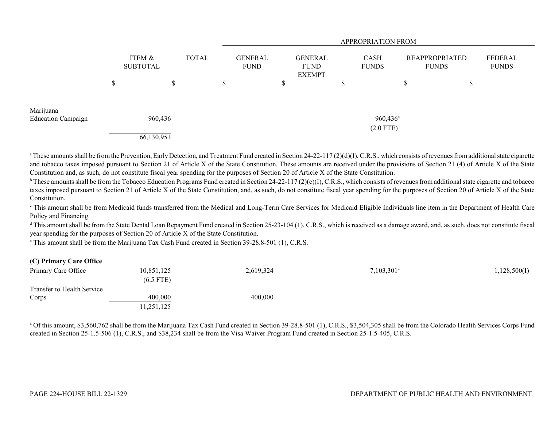|                                        |        |                                           | <b>APPROPRIATION FROM</b>     |                                                |     |                             |                                |    |                         |  |  |  |
|----------------------------------------|--------|-------------------------------------------|-------------------------------|------------------------------------------------|-----|-----------------------------|--------------------------------|----|-------------------------|--|--|--|
|                                        |        | ITEM &<br><b>TOTAL</b><br><b>SUBTOTAL</b> | <b>GENERAL</b><br><b>FUND</b> | <b>GENERAL</b><br><b>FUND</b><br><b>EXEMPT</b> |     | <b>CASH</b><br><b>FUNDS</b> | REAPPROPRIATED<br><b>FUNDS</b> |    | FEDERAL<br><b>FUNDS</b> |  |  |  |
|                                        | Φ<br>Φ | ъĐ                                        | \$                            | J.                                             | J.D |                             | ¢<br>D                         | \$ |                         |  |  |  |
| Marijuana<br><b>Education Campaign</b> |        | 960,436                                   |                               |                                                |     | $960,436^{\circ}$           |                                |    |                         |  |  |  |
|                                        |        | 66,130,951                                |                               |                                                |     | $(2.0$ FTE)                 |                                |    |                         |  |  |  |

<sup>a</sup> These amounts shall be from the Prevention, Early Detection, and Treatment Fund created in Section 24-22-117 (2)(d)(I), C.R.S., which consists of revenues from additional state cigarette and tobacco taxes imposed pursuant to Section 21 of Article X of the State Constitution. These amounts are received under the provisions of Section 21 (4) of Article X of the State Constitution and, as such, do not constitute fiscal year spending for the purposes of Section 20 of Article X of the State Constitution.

<sup>b</sup> These amounts shall be from the Tobacco Education Programs Fund created in Section 24-22-117 (2)(c)(I), C.R.S., which consists of revenues from additional state cigarette and tobacco taxes imposed pursuant to Section 21 of Article X of the State Constitution, and, as such, do not constitute fiscal year spending for the purposes of Section 20 of Article X of the State Constitution.

<sup>c</sup> This amount shall be from Medicaid funds transferred from the Medical and Long-Term Care Services for Medicaid Eligible Individuals line item in the Department of Health Care Policy and Financing.

<sup>d</sup> This amount shall be from the State Dental Loan Repayment Fund created in Section 25-23-104 (1), C.R.S., which is received as a damage award, and, as such, does not constitute fiscal year spending for the purposes of Section 20 of Article X of the State Constitution.

e This amount shall be from the Marijuana Tax Cash Fund created in Section 39-28.8-501 (1), C.R.S.

| (C) Primary Care Office    |             |           |                          |              |
|----------------------------|-------------|-----------|--------------------------|--------------|
| Primary Care Office        | 10,851,125  | 2,619,324 | $7,103,301$ <sup>a</sup> | 1,128,500(I) |
|                            | $(6.5$ FTE) |           |                          |              |
| Transfer to Health Service |             |           |                          |              |
| Corps                      | 400,000     | 400,000   |                          |              |
|                            | 11,251,125  |           |                          |              |

<sup>a</sup> Of this amount, \$3,560,762 shall be from the Marijuana Tax Cash Fund created in Section 39-28.8-501 (1), C.R.S., \$3,504,305 shall be from the Colorado Health Services Corps Fund created in Section 25-1.5-506 (1), C.R.S., and \$38,234 shall be from the Visa Waiver Program Fund created in Section 25-1.5-405, C.R.S.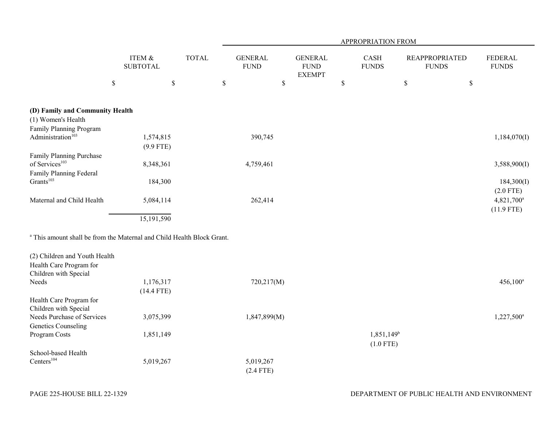| ITEM &<br><b>TOTAL</b><br><b>GENERAL</b><br><b>GENERAL</b><br>CASH<br><b>REAPPROPRIATED</b><br><b>FEDERAL</b><br><b>FUND</b><br><b>FUNDS</b><br><b>FUNDS</b><br><b>FUNDS</b><br><b>SUBTOTAL</b><br><b>FUND</b><br><b>EXEMPT</b><br>\$<br>$\mathbb S$<br>\$<br>$\$$<br>\$<br>$\$$<br>$\$$<br>(D) Family and Community Health<br>(1) Women's Health<br>Family Planning Program<br>1,574,815<br>390,745<br>1,184,070(I)<br>$(9.9$ FTE)<br>Family Planning Purchase<br>8,348,361<br>4,759,461<br>3,588,900(I)<br>Grants <sup>103</sup><br>184,300<br>184,300(I)<br>$(2.0$ FTE)<br>262,414<br>5,084,114<br>4,821,700 <sup>a</sup><br>$(11.9$ FTE)<br>15,191,590<br><sup>a</sup> This amount shall be from the Maternal and Child Health Block Grant.<br>(2) Children and Youth Health<br>1,176,317<br>720,217(M)<br>$456,100^a$<br>$(14.4$ FTE)<br>Children with Special<br>Needs Purchase of Services<br>3,075,399<br>1,847,899(M)<br>1,227,500 <sup>a</sup><br><b>Genetics Counseling</b><br>$1,851,149^b$<br>Program Costs<br>1,851,149 |                               |  | APPROPRIATION FROM |  |  |  |             |  |  |  |  |  |  |
|---------------------------------------------------------------------------------------------------------------------------------------------------------------------------------------------------------------------------------------------------------------------------------------------------------------------------------------------------------------------------------------------------------------------------------------------------------------------------------------------------------------------------------------------------------------------------------------------------------------------------------------------------------------------------------------------------------------------------------------------------------------------------------------------------------------------------------------------------------------------------------------------------------------------------------------------------------------------------------------------------------------------------------------|-------------------------------|--|--------------------|--|--|--|-------------|--|--|--|--|--|--|
|                                                                                                                                                                                                                                                                                                                                                                                                                                                                                                                                                                                                                                                                                                                                                                                                                                                                                                                                                                                                                                       |                               |  |                    |  |  |  |             |  |  |  |  |  |  |
|                                                                                                                                                                                                                                                                                                                                                                                                                                                                                                                                                                                                                                                                                                                                                                                                                                                                                                                                                                                                                                       |                               |  |                    |  |  |  |             |  |  |  |  |  |  |
|                                                                                                                                                                                                                                                                                                                                                                                                                                                                                                                                                                                                                                                                                                                                                                                                                                                                                                                                                                                                                                       |                               |  |                    |  |  |  |             |  |  |  |  |  |  |
|                                                                                                                                                                                                                                                                                                                                                                                                                                                                                                                                                                                                                                                                                                                                                                                                                                                                                                                                                                                                                                       |                               |  |                    |  |  |  |             |  |  |  |  |  |  |
|                                                                                                                                                                                                                                                                                                                                                                                                                                                                                                                                                                                                                                                                                                                                                                                                                                                                                                                                                                                                                                       |                               |  |                    |  |  |  |             |  |  |  |  |  |  |
|                                                                                                                                                                                                                                                                                                                                                                                                                                                                                                                                                                                                                                                                                                                                                                                                                                                                                                                                                                                                                                       | Administration <sup>103</sup> |  |                    |  |  |  |             |  |  |  |  |  |  |
|                                                                                                                                                                                                                                                                                                                                                                                                                                                                                                                                                                                                                                                                                                                                                                                                                                                                                                                                                                                                                                       |                               |  |                    |  |  |  |             |  |  |  |  |  |  |
|                                                                                                                                                                                                                                                                                                                                                                                                                                                                                                                                                                                                                                                                                                                                                                                                                                                                                                                                                                                                                                       |                               |  |                    |  |  |  |             |  |  |  |  |  |  |
|                                                                                                                                                                                                                                                                                                                                                                                                                                                                                                                                                                                                                                                                                                                                                                                                                                                                                                                                                                                                                                       | of Services <sup>103</sup>    |  |                    |  |  |  |             |  |  |  |  |  |  |
|                                                                                                                                                                                                                                                                                                                                                                                                                                                                                                                                                                                                                                                                                                                                                                                                                                                                                                                                                                                                                                       | Family Planning Federal       |  |                    |  |  |  |             |  |  |  |  |  |  |
|                                                                                                                                                                                                                                                                                                                                                                                                                                                                                                                                                                                                                                                                                                                                                                                                                                                                                                                                                                                                                                       |                               |  |                    |  |  |  |             |  |  |  |  |  |  |
|                                                                                                                                                                                                                                                                                                                                                                                                                                                                                                                                                                                                                                                                                                                                                                                                                                                                                                                                                                                                                                       |                               |  |                    |  |  |  |             |  |  |  |  |  |  |
|                                                                                                                                                                                                                                                                                                                                                                                                                                                                                                                                                                                                                                                                                                                                                                                                                                                                                                                                                                                                                                       | Maternal and Child Health     |  |                    |  |  |  |             |  |  |  |  |  |  |
|                                                                                                                                                                                                                                                                                                                                                                                                                                                                                                                                                                                                                                                                                                                                                                                                                                                                                                                                                                                                                                       |                               |  |                    |  |  |  |             |  |  |  |  |  |  |
|                                                                                                                                                                                                                                                                                                                                                                                                                                                                                                                                                                                                                                                                                                                                                                                                                                                                                                                                                                                                                                       |                               |  |                    |  |  |  |             |  |  |  |  |  |  |
|                                                                                                                                                                                                                                                                                                                                                                                                                                                                                                                                                                                                                                                                                                                                                                                                                                                                                                                                                                                                                                       |                               |  |                    |  |  |  |             |  |  |  |  |  |  |
|                                                                                                                                                                                                                                                                                                                                                                                                                                                                                                                                                                                                                                                                                                                                                                                                                                                                                                                                                                                                                                       |                               |  |                    |  |  |  |             |  |  |  |  |  |  |
|                                                                                                                                                                                                                                                                                                                                                                                                                                                                                                                                                                                                                                                                                                                                                                                                                                                                                                                                                                                                                                       | Health Care Program for       |  |                    |  |  |  |             |  |  |  |  |  |  |
|                                                                                                                                                                                                                                                                                                                                                                                                                                                                                                                                                                                                                                                                                                                                                                                                                                                                                                                                                                                                                                       | Children with Special         |  |                    |  |  |  |             |  |  |  |  |  |  |
|                                                                                                                                                                                                                                                                                                                                                                                                                                                                                                                                                                                                                                                                                                                                                                                                                                                                                                                                                                                                                                       | Needs                         |  |                    |  |  |  |             |  |  |  |  |  |  |
|                                                                                                                                                                                                                                                                                                                                                                                                                                                                                                                                                                                                                                                                                                                                                                                                                                                                                                                                                                                                                                       |                               |  |                    |  |  |  |             |  |  |  |  |  |  |
|                                                                                                                                                                                                                                                                                                                                                                                                                                                                                                                                                                                                                                                                                                                                                                                                                                                                                                                                                                                                                                       | Health Care Program for       |  |                    |  |  |  |             |  |  |  |  |  |  |
|                                                                                                                                                                                                                                                                                                                                                                                                                                                                                                                                                                                                                                                                                                                                                                                                                                                                                                                                                                                                                                       |                               |  |                    |  |  |  |             |  |  |  |  |  |  |
|                                                                                                                                                                                                                                                                                                                                                                                                                                                                                                                                                                                                                                                                                                                                                                                                                                                                                                                                                                                                                                       |                               |  |                    |  |  |  |             |  |  |  |  |  |  |
|                                                                                                                                                                                                                                                                                                                                                                                                                                                                                                                                                                                                                                                                                                                                                                                                                                                                                                                                                                                                                                       |                               |  |                    |  |  |  |             |  |  |  |  |  |  |
|                                                                                                                                                                                                                                                                                                                                                                                                                                                                                                                                                                                                                                                                                                                                                                                                                                                                                                                                                                                                                                       |                               |  |                    |  |  |  | $(1.0$ FTE) |  |  |  |  |  |  |

(2.4 FTE)

PAGE 225-HOUSE BILL 22-1329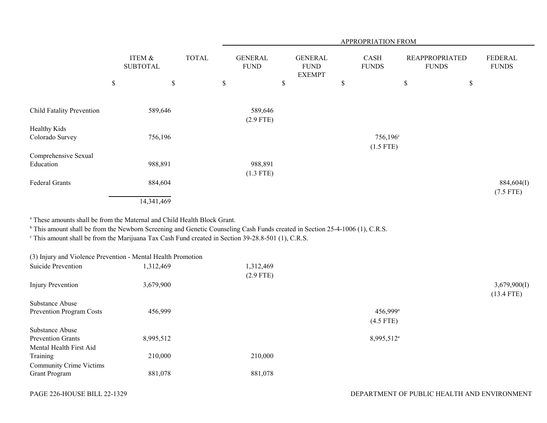|                                                                                                                                                                                                                                                                                                                                                 |                           |              | APPROPRIATION FROM            |      |                                                |                                     |                                       |      |                                |  |  |  |  |
|-------------------------------------------------------------------------------------------------------------------------------------------------------------------------------------------------------------------------------------------------------------------------------------------------------------------------------------------------|---------------------------|--------------|-------------------------------|------|------------------------------------------------|-------------------------------------|---------------------------------------|------|--------------------------------|--|--|--|--|
|                                                                                                                                                                                                                                                                                                                                                 | ITEM &<br><b>SUBTOTAL</b> | <b>TOTAL</b> | <b>GENERAL</b><br><b>FUND</b> |      | <b>GENERAL</b><br><b>FUND</b><br><b>EXEMPT</b> | <b>CASH</b><br><b>FUNDS</b>         | <b>REAPPROPRIATED</b><br><b>FUNDS</b> |      | <b>FEDERAL</b><br><b>FUNDS</b> |  |  |  |  |
|                                                                                                                                                                                                                                                                                                                                                 | $\mathbb S$               | $\mathbb S$  | $\$$                          | $\$$ | $\mathbb{S}$                                   |                                     | $\$$                                  | $\$$ |                                |  |  |  |  |
| Child Fatality Prevention                                                                                                                                                                                                                                                                                                                       | 589,646                   |              | 589,646<br>$(2.9$ FTE)        |      |                                                |                                     |                                       |      |                                |  |  |  |  |
| Healthy Kids<br>Colorado Survey                                                                                                                                                                                                                                                                                                                 | 756,196                   |              |                               |      |                                                | 756,196 <sup>c</sup><br>$(1.5$ FTE) |                                       |      |                                |  |  |  |  |
| Comprehensive Sexual<br>Education                                                                                                                                                                                                                                                                                                               | 988,891                   |              | 988,891<br>$(1.3$ FTE)        |      |                                                |                                     |                                       |      |                                |  |  |  |  |
| <b>Federal Grants</b>                                                                                                                                                                                                                                                                                                                           | 884,604<br>14,341,469     |              |                               |      |                                                |                                     |                                       |      | 884,604(I)<br>$(7.5$ FTE)      |  |  |  |  |
| <sup>a</sup> These amounts shall be from the Maternal and Child Health Block Grant.<br><sup>b</sup> This amount shall be from the Newborn Screening and Genetic Counseling Cash Funds created in Section 25-4-1006 (1), C.R.S.<br><sup>c</sup> This amount shall be from the Marijuana Tax Cash Fund created in Section 39-28.8-501 (1), C.R.S. |                           |              |                               |      |                                                |                                     |                                       |      |                                |  |  |  |  |
| (3) Injury and Violence Prevention - Mental Health Promotion                                                                                                                                                                                                                                                                                    |                           |              |                               |      |                                                |                                     |                                       |      |                                |  |  |  |  |
| Suicide Prevention                                                                                                                                                                                                                                                                                                                              | 1,312,469                 |              | 1,312,469<br>$(2.9$ FTE)      |      |                                                |                                     |                                       |      |                                |  |  |  |  |
| <b>Injury Prevention</b>                                                                                                                                                                                                                                                                                                                        | 3,679,900                 |              |                               |      |                                                |                                     |                                       |      | 3,679,900(I)<br>$(13.4$ FTE)   |  |  |  |  |
| Substance Abuse<br>Prevention Program Costs                                                                                                                                                                                                                                                                                                     | 456,999                   |              |                               |      |                                                | 456,999 <sup>a</sup><br>$(4.5$ FTE) |                                       |      |                                |  |  |  |  |
| Substance Abuse<br><b>Prevention Grants</b><br>Mental Health First Aid                                                                                                                                                                                                                                                                          | 8,995,512                 |              |                               |      |                                                | 8,995,512 <sup>a</sup>              |                                       |      |                                |  |  |  |  |
| Training                                                                                                                                                                                                                                                                                                                                        | 210,000                   |              | 210,000                       |      |                                                |                                     |                                       |      |                                |  |  |  |  |
| <b>Community Crime Victims</b><br><b>Grant Program</b>                                                                                                                                                                                                                                                                                          | 881,078                   |              | 881,078                       |      |                                                |                                     |                                       |      |                                |  |  |  |  |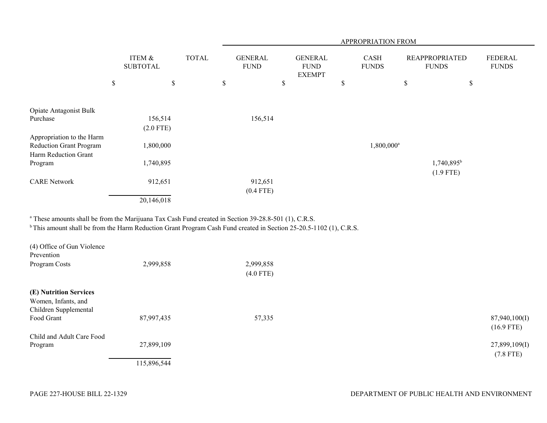|                                                             |                           |              |    | APPROPRIATION FROM            |    |                                                |    |                             |                                       |                                    |                                |  |  |  |
|-------------------------------------------------------------|---------------------------|--------------|----|-------------------------------|----|------------------------------------------------|----|-----------------------------|---------------------------------------|------------------------------------|--------------------------------|--|--|--|
|                                                             | ITEM &<br><b>SUBTOTAL</b> | <b>TOTAL</b> |    | <b>GENERAL</b><br><b>FUND</b> |    | <b>GENERAL</b><br><b>FUND</b><br><b>EXEMPT</b> |    | <b>CASH</b><br><b>FUNDS</b> | <b>REAPPROPRIATED</b><br><b>FUNDS</b> |                                    | <b>FEDERAL</b><br><b>FUNDS</b> |  |  |  |
|                                                             | \$<br>$\$$                |              | \$ |                               | \$ |                                                | \$ |                             | \$                                    | \$                                 |                                |  |  |  |
| Opiate Antagonist Bulk                                      |                           |              |    |                               |    |                                                |    |                             |                                       |                                    |                                |  |  |  |
| Purchase                                                    | 156,514<br>$(2.0$ FTE)    |              |    | 156,514                       |    |                                                |    |                             |                                       |                                    |                                |  |  |  |
| Appropriation to the Harm<br><b>Reduction Grant Program</b> | 1,800,000                 |              |    |                               |    |                                                |    | 1,800,000 <sup>a</sup>      |                                       |                                    |                                |  |  |  |
| Harm Reduction Grant<br>Program                             | 1,740,895                 |              |    |                               |    |                                                |    |                             |                                       | $1,740,895^{\rm b}$<br>$(1.9$ FTE) |                                |  |  |  |
| <b>CARE Network</b>                                         | 912,651                   |              |    | 912,651<br>$(0.4$ FTE)        |    |                                                |    |                             |                                       |                                    |                                |  |  |  |
|                                                             | 20,146,018                |              |    |                               |    |                                                |    |                             |                                       |                                    |                                |  |  |  |

<sup>a</sup> These amounts shall be from the Marijuana Tax Cash Fund created in Section 39-28.8-501 (1), C.R.S.

<sup>b</sup> This amount shall be from the Harm Reduction Grant Program Cash Fund created in Section 25-20.5-1102 (1), C.R.S.

| (4) Office of Gun Violence<br>Prevention                               |             |                          |                               |
|------------------------------------------------------------------------|-------------|--------------------------|-------------------------------|
| Program Costs                                                          | 2,999,858   | 2,999,858<br>$(4.0$ FTE) |                               |
| (E) Nutrition Services<br>Women, Infants, and<br>Children Supplemental |             |                          |                               |
| Food Grant                                                             | 87,997,435  | 57,335                   | 87,940,100(I)<br>$(16.9$ FTE) |
| Child and Adult Care Food                                              |             |                          |                               |
| Program                                                                | 27,899,109  |                          | 27,899,109(I)<br>$(7.8$ FTE)  |
|                                                                        | 115,896,544 |                          |                               |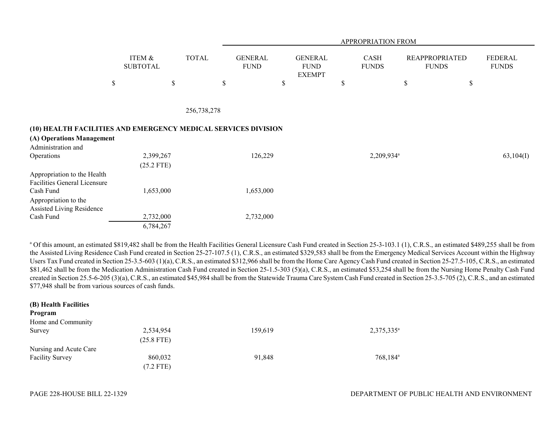|                                                                |                           |              |                               | APPROPRIATION FROM |                                                |    |                             |    |                                       |                         |  |  |  |
|----------------------------------------------------------------|---------------------------|--------------|-------------------------------|--------------------|------------------------------------------------|----|-----------------------------|----|---------------------------------------|-------------------------|--|--|--|
|                                                                | ITEM &<br><b>SUBTOTAL</b> | <b>TOTAL</b> | <b>GENERAL</b><br><b>FUND</b> |                    | <b>GENERAL</b><br><b>FUND</b><br><b>EXEMPT</b> |    | <b>CASH</b><br><b>FUNDS</b> |    | <b>REAPPROPRIATED</b><br><b>FUNDS</b> | FEDERAL<br><b>FUNDS</b> |  |  |  |
|                                                                | $\$$                      | \$           | $\mathbb{S}$                  | \$                 |                                                | \$ |                             | \$ | \$                                    |                         |  |  |  |
|                                                                |                           |              |                               |                    |                                                |    |                             |    |                                       |                         |  |  |  |
|                                                                |                           | 256,738,278  |                               |                    |                                                |    |                             |    |                                       |                         |  |  |  |
| (10) HEALTH FACILITIES AND EMERGENCY MEDICAL SERVICES DIVISION |                           |              |                               |                    |                                                |    |                             |    |                                       |                         |  |  |  |
| (A) Operations Management                                      |                           |              |                               |                    |                                                |    |                             |    |                                       |                         |  |  |  |
| Administration and                                             |                           |              |                               |                    |                                                |    |                             |    |                                       |                         |  |  |  |
| Operations                                                     | 2,399,267<br>$(25.2$ FTE) |              |                               | 126,229            |                                                |    | 2,209,934 <sup>a</sup>      |    |                                       | 63,104(I)               |  |  |  |
| Appropriation to the Health<br>Facilities General Licensure    |                           |              |                               |                    |                                                |    |                             |    |                                       |                         |  |  |  |
| Cash Fund                                                      | 1,653,000                 |              |                               | 1,653,000          |                                                |    |                             |    |                                       |                         |  |  |  |
| Appropriation to the<br>Assisted Living Residence              |                           |              |                               |                    |                                                |    |                             |    |                                       |                         |  |  |  |
| Cash Fund                                                      | 2,732,000                 |              | 2,732,000                     |                    |                                                |    |                             |    |                                       |                         |  |  |  |
|                                                                | 6,784,267                 |              |                               |                    |                                                |    |                             |    |                                       |                         |  |  |  |

<sup>a</sup> Of this amount, an estimated \$819,482 shall be from the Health Facilities General Licensure Cash Fund created in Section 25-3-103.1 (1), C.R.S., an estimated \$489,255 shall be from the Assisted Living Residence Cash Fund created in Section 25-27-107.5 (1), C.R.S., an estimated \$329,583 shall be from the Emergency Medical Services Account within the Highway Users Tax Fund created in Section 25-3.5-603 (1)(a), C.R.S., an estimated \$312,966 shall be from the Home Care Agency Cash Fund created in Section 25-27.5-105, C.R.S., an estimated \$81,462 shall be from the Medication Administration Cash Fund created in Section 25-1.5-303 (5)(a), C.R.S., an estimated \$53,254 shall be from the Nursing Home Penalty Cash Fund created in Section 25.5-6-205 (3)(a), C.R.S., an estimated \$45,984 shall be from the Statewide Trauma Care System Cash Fund created in Section 25-3.5-705 (2), C.R.S., and an estimated \$77,948 shall be from various sources of cash funds.

| (B) Health Facilities  |              |         |                        |
|------------------------|--------------|---------|------------------------|
| Program                |              |         |                        |
| Home and Community     |              |         |                        |
| Survey                 | 2,534,954    | 159,619 | 2,375,335 <sup>a</sup> |
|                        | $(25.8$ FTE) |         |                        |
| Nursing and Acute Care |              |         |                        |
| <b>Facility Survey</b> | 860,032      | 91,848  | 768,184 <sup>a</sup>   |
|                        | $(7.2$ FTE)  |         |                        |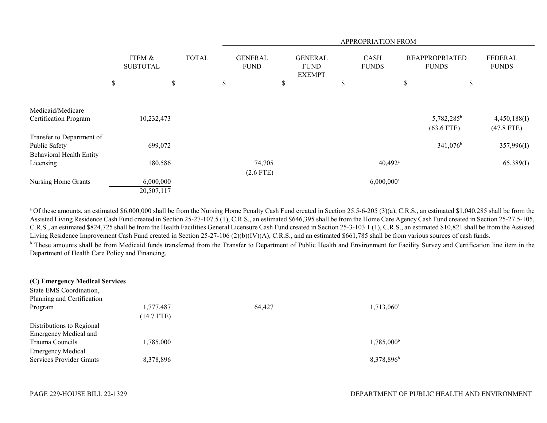|                                 |                           |              |                               |                           |                                                | APPROPRIATION FROM          |                                        |                                |
|---------------------------------|---------------------------|--------------|-------------------------------|---------------------------|------------------------------------------------|-----------------------------|----------------------------------------|--------------------------------|
|                                 | ITEM &<br><b>SUBTOTAL</b> | <b>TOTAL</b> | <b>GENERAL</b><br><b>FUND</b> |                           | <b>GENERAL</b><br><b>FUND</b><br><b>EXEMPT</b> | <b>CASH</b><br><b>FUNDS</b> | <b>REAPPROPRIATED</b><br><b>FUNDS</b>  | <b>FEDERAL</b><br><b>FUNDS</b> |
|                                 | \$<br>\$                  |              | \$                            | $\boldsymbol{\mathsf{S}}$ |                                                | \$                          | \$<br>\$                               |                                |
|                                 |                           |              |                               |                           |                                                |                             |                                        |                                |
| Medicaid/Medicare               |                           |              |                               |                           |                                                |                             |                                        |                                |
| Certification Program           | 10,232,473                |              |                               |                           |                                                |                             | 5,782,285 <sup>b</sup><br>$(63.6$ FTE) | 4,450,188(I)<br>$(47.8$ FTE)   |
| Transfer to Department of       |                           |              |                               |                           |                                                |                             |                                        |                                |
| Public Safety                   | 699,072                   |              |                               |                           |                                                |                             | $341,076^b$                            | 357,996(I)                     |
| <b>Behavioral Health Entity</b> |                           |              |                               |                           |                                                |                             |                                        |                                |
| Licensing                       | 180,586                   |              | 74,705                        |                           |                                                | $40,492^{\text{a}}$         |                                        | 65,389(I)                      |
|                                 |                           |              | $(2.6$ FTE)                   |                           |                                                |                             |                                        |                                |
| Nursing Home Grants             | 6,000,000                 |              |                               |                           |                                                | $6,000,000$ <sup>a</sup>    |                                        |                                |
|                                 | 20,507,117                |              |                               |                           |                                                |                             |                                        |                                |

<sup>a</sup> Of these amounts, an estimated \$6,000,000 shall be from the Nursing Home Penalty Cash Fund created in Section 25.5-6-205 (3)(a), C.R.S., an estimated \$1,040,285 shall be from the Assisted Living Residence Cash Fund created in Section 25-27-107.5 (1), C.R.S., an estimated \$646,395 shall be from the Home Care Agency Cash Fund created in Section 25-27.5-105, C.R.S., an estimated \$824,725 shall be from the Health Facilities General Licensure Cash Fund created in Section 25-3-103.1 (1), C.R.S., an estimated \$10,821 shall be from the Assisted Living Residence Improvement Cash Fund created in Section 25-27-106 (2)(b)(IV)(A), C.R.S., and an estimated \$661,785 shall be from various sources of cash funds. <sup>b</sup> These amounts shall be from Medicaid funds transferred from the Transfer to Department of Public Health and Environment for Facility Survey and Certification line item in the Department of Health Care Policy and Financing.

| (C) Emergency Medical Services  |              |        |                        |
|---------------------------------|--------------|--------|------------------------|
| State EMS Coordination,         |              |        |                        |
| Planning and Certification      |              |        |                        |
| Program                         | 1,777,487    | 64,427 | 1,713,060 <sup>a</sup> |
|                                 | $(14.7$ FTE) |        |                        |
| Distributions to Regional       |              |        |                        |
| <b>Emergency Medical and</b>    |              |        |                        |
| Trauma Councils                 | 1,785,000    |        | $1,785,000^{\rm b}$    |
| <b>Emergency Medical</b>        |              |        |                        |
| <b>Services Provider Grants</b> | 8,378,896    |        | 8,378,896 <sup>b</sup> |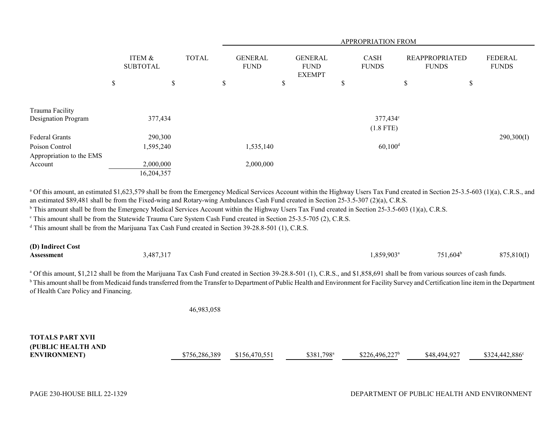|                          |                           |              |                               |                                                |                             | APPROPRIATION FROM      |                                       |                                |
|--------------------------|---------------------------|--------------|-------------------------------|------------------------------------------------|-----------------------------|-------------------------|---------------------------------------|--------------------------------|
|                          | ITEM &<br><b>SUBTOTAL</b> | <b>TOTAL</b> | <b>GENERAL</b><br><b>FUND</b> | <b>GENERAL</b><br><b>FUND</b><br><b>EXEMPT</b> | <b>CASH</b><br><b>FUNDS</b> |                         | <b>REAPPROPRIATED</b><br><b>FUNDS</b> | <b>FEDERAL</b><br><b>FUNDS</b> |
|                          | \$<br>\$                  |              | \$                            | \$                                             | \$                          |                         | \$                                    | \$                             |
| Trauma Facility          |                           |              |                               |                                                |                             |                         |                                       |                                |
| Designation Program      | 377,434                   |              |                               |                                                |                             | 377,434°<br>$(1.8$ FTE) |                                       |                                |
| Federal Grants           | 290,300                   |              |                               |                                                |                             |                         |                                       | 290,300(I)                     |
| Poison Control           | 1,595,240                 |              | 1,535,140                     |                                                |                             | $60,100$ <sup>d</sup>   |                                       |                                |
| Appropriation to the EMS |                           |              |                               |                                                |                             |                         |                                       |                                |
| Account                  | 2,000,000                 |              | 2,000,000                     |                                                |                             |                         |                                       |                                |
|                          | 16,204,357                |              |                               |                                                |                             |                         |                                       |                                |

<sup>a</sup> Of this amount, an estimated \$1,623,579 shall be from the Emergency Medical Services Account within the Highway Users Tax Fund created in Section 25-3.5-603 (1)(a), C.R.S., and an estimated \$89,481 shall be from the Fixed-wing and Rotary-wing Ambulances Cash Fund created in Section 25-3.5-307 (2)(a), C.R.S.

<sup>b</sup> This amount shall be from the Emergency Medical Services Account within the Highway Users Tax Fund created in Section 25-3.5-603 (1)(a), C.R.S.

<sup>c</sup> This amount shall be from the Statewide Trauma Care System Cash Fund created in Section 25-3.5-705 (2), C.R.S.

<sup>d</sup> This amount shall be from the Marijuana Tax Cash Fund created in Section 39-28.8-501 (1), C.R.S.

| (D) Indirect Cost |           |                          |                           |            |
|-------------------|-----------|--------------------------|---------------------------|------------|
| Assessment        | 3,487,317 | $0.859,903$ <sup>a</sup> | ل 1,604 $^{\rm b}$<br>751 | 875,810(I) |

<sup>a</sup> Of this amount, \$1,212 shall be from the Marijuana Tax Cash Fund created in Section 39-28.8-501 (1), C.R.S., and \$1,858,691 shall be from various sources of cash funds. <sup>b</sup> This amount shall be from Medicaid funds transferred from the Transfer to Department of Public Health and Environment for Facility Survey and Certification line item in the Department of Health Care Policy and Financing.

46,983,058

# **TOTALS PART XVII(PUBLIC HEALTH AND ENVIRONMENT)** \$756,286,389 \$156,470,551 \$381,798<sup>a</sup> \$226,496,227<sup>b</sup> \$48,494,927 \$324,442,886<sup>c</sup>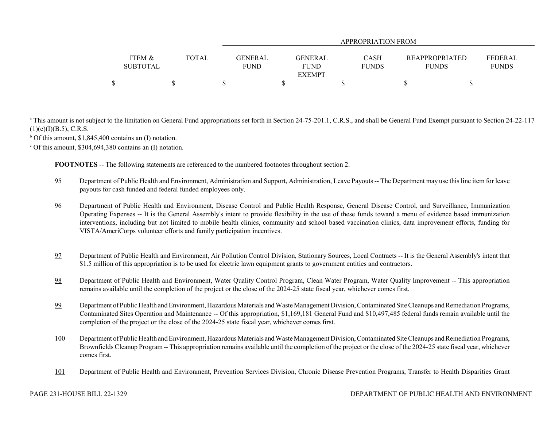|                 |              |      | APPROPRIATION FROM        |  |              |                |                |  |  |
|-----------------|--------------|------|---------------------------|--|--------------|----------------|----------------|--|--|
|                 |              |      |                           |  |              |                |                |  |  |
| ITEM &          | <b>TOTAL</b> |      | GENERAL<br><b>GENERAL</b> |  | CASH         | REAPPROPRIATED | <b>FEDERAL</b> |  |  |
| <b>SUBTOTAL</b> |              | FUND | FUND                      |  | <b>FUNDS</b> | <b>FUNDS</b>   | <b>FUNDS</b>   |  |  |
|                 |              |      | <b>EXEMPT</b>             |  |              |                |                |  |  |
|                 |              |      |                           |  |              |                |                |  |  |

<sup>a</sup> This amount is not subject to the limitation on General Fund appropriations set forth in Section 24-75-201.1, C.R.S., and shall be General Fund Exempt pursuant to Section 24-22-117  $(1)(c)(I)(B.5)$ , C.R.S.

 $b$  Of this amount, \$1,845,400 contains an (I) notation.

 $\degree$  Of this amount, \$304,694,380 contains an (I) notation.

**FOOTNOTES** -- The following statements are referenced to the numbered footnotes throughout section 2.

- 95 Department of Public Health and Environment, Administration and Support, Administration, Leave Payouts -- The Department may use this line item for leave payouts for cash funded and federal funded employees only.
- 96 Department of Public Health and Environment, Disease Control and Public Health Response, General Disease Control, and Surveillance, Immunization Operating Expenses -- It is the General Assembly's intent to provide flexibility in the use of these funds toward a menu of evidence based immunization interventions, including but not limited to mobile health clinics, community and school based vaccination clinics, data improvement efforts, funding for VISTA/AmeriCorps volunteer efforts and family participation incentives.
- 97 Department of Public Health and Environment, Air Pollution Control Division, Stationary Sources, Local Contracts -- It is the General Assembly's intent that \$1.5 million of this appropriation is to be used for electric lawn equipment grants to government entities and contractors.
- 98 Department of Public Health and Environment, Water Quality Control Program, Clean Water Program, Water Quality Improvement -- This appropriation remains available until the completion of the project or the close of the 2024-25 state fiscal year, whichever comes first.
- 99 Department of Public Health and Environment, Hazardous Materials and Waste Management Division, Contaminated Site Cleanups and Remediation Programs, Contaminated Sites Operation and Maintenance -- Of this appropriation, \$1,169,181 General Fund and \$10,497,485 federal funds remain available until the completion of the project or the close of the 2024-25 state fiscal year, whichever comes first.
- 100 Department of Public Health and Environment, Hazardous Materials and Waste Management Division, Contaminated Site Cleanups and Remediation Programs, Brownfields Cleanup Program -- This appropriation remains available until the completion of the project or the close of the 2024-25 state fiscal year, whichever comes first.
- 101Department of Public Health and Environment, Prevention Services Division, Chronic Disease Prevention Programs, Transfer to Health Disparities Grant